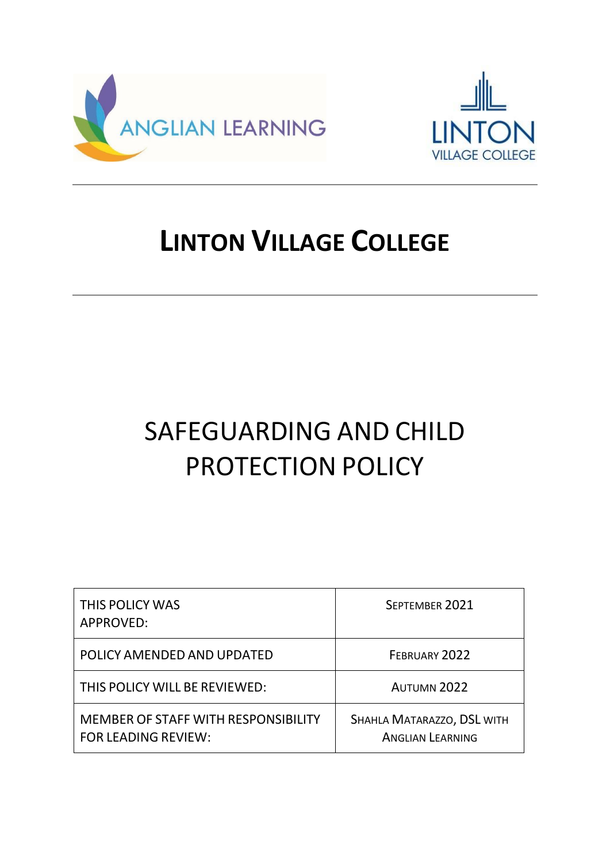



# **LINTON VILLAGE COLLEGE**

# SAFEGUARDING AND CHILD PROTECTION POLICY

| THIS POLICY WAS<br>APPROVED:                                      | SEPTEMBER 2021                                        |
|-------------------------------------------------------------------|-------------------------------------------------------|
| POLICY AMENDED AND UPDATED                                        | FEBRUARY 2022                                         |
| THIS POLICY WILL BE REVIEWED:                                     | <b>AUTUMN 2022</b>                                    |
| MEMBER OF STAFF WITH RESPONSIBILITY<br><b>FOR LEADING REVIEW:</b> | SHAHLA MATARAZZO, DSL WITH<br><b>ANGLIAN LEARNING</b> |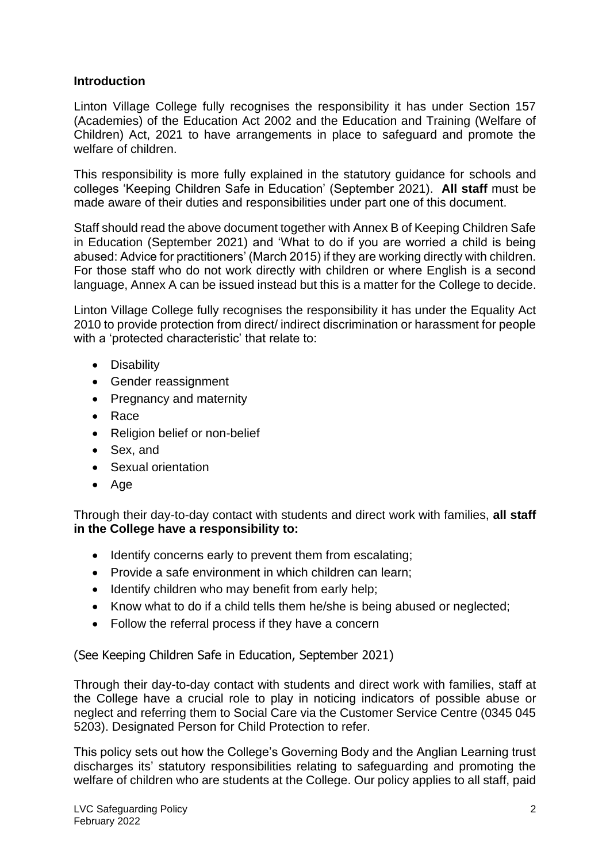#### **Introduction**

Linton Village College fully recognises the responsibility it has under Section 157 (Academies) of the Education Act 2002 and the Education and Training (Welfare of Children) Act, 2021 to have arrangements in place to safeguard and promote the welfare of children.

This responsibility is more fully explained in the statutory guidance for schools and colleges 'Keeping Children Safe in Education' (September 2021). **All staff** must be made aware of their duties and responsibilities under part one of this document.

Staff should read the above document together with Annex B of Keeping Children Safe in Education (September 2021) and 'What to do if you are worried a child is being abused: Advice for practitioners' (March 2015) if they are working directly with children. For those staff who do not work directly with children or where English is a second language, Annex A can be issued instead but this is a matter for the College to decide.

Linton Village College fully recognises the responsibility it has under the Equality Act 2010 to provide protection from direct/ indirect discrimination or harassment for people with a 'protected characteristic' that relate to:

- Disability
- Gender reassignment
- Pregnancy and maternity
- Race
- Religion belief or non-belief
- Sex, and
- Sexual orientation
- Age

Through their day-to-day contact with students and direct work with families, **all staff in the College have a responsibility to:**

- Identify concerns early to prevent them from escalating;
- Provide a safe environment in which children can learn;
- Identify children who may benefit from early help;
- Know what to do if a child tells them he/she is being abused or neglected;
- Follow the referral process if they have a concern

(See Keeping Children Safe in Education, September 2021)

Through their day-to-day contact with students and direct work with families, staff at the College have a crucial role to play in noticing indicators of possible abuse or neglect and referring them to Social Care via the Customer Service Centre (0345 045 5203). Designated Person for Child Protection to refer.

This policy sets out how the College's Governing Body and the Anglian Learning trust discharges its' statutory responsibilities relating to safeguarding and promoting the welfare of children who are students at the College. Our policy applies to all staff, paid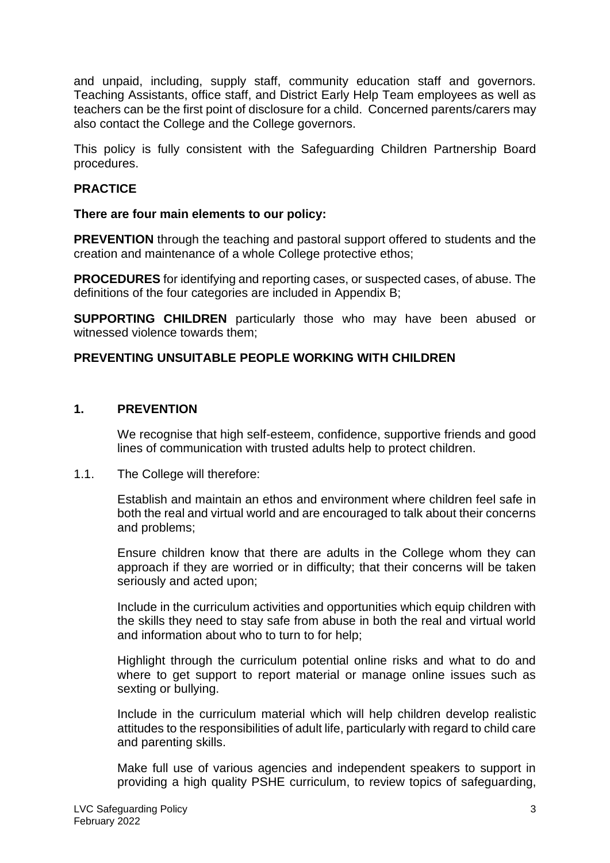and unpaid, including, supply staff, community education staff and governors. Teaching Assistants, office staff, and District Early Help Team employees as well as teachers can be the first point of disclosure for a child. Concerned parents/carers may also contact the College and the College governors.

This policy is fully consistent with the Safeguarding Children Partnership Board procedures.

### **PRACTICE**

#### **There are four main elements to our policy:**

**PREVENTION** through the teaching and pastoral support offered to students and the creation and maintenance of a whole College protective ethos;

**PROCEDURES** for identifying and reporting cases, or suspected cases, of abuse. The definitions of the four categories are included in Appendix B;

**SUPPORTING CHILDREN** particularly those who may have been abused or witnessed violence towards them;

### **PREVENTING UNSUITABLE PEOPLE WORKING WITH CHILDREN**

#### **1. PREVENTION**

We recognise that high self-esteem, confidence, supportive friends and good lines of communication with trusted adults help to protect children.

#### 1.1. The College will therefore:

Establish and maintain an ethos and environment where children feel safe in both the real and virtual world and are encouraged to talk about their concerns and problems;

Ensure children know that there are adults in the College whom they can approach if they are worried or in difficulty; that their concerns will be taken seriously and acted upon;

Include in the curriculum activities and opportunities which equip children with the skills they need to stay safe from abuse in both the real and virtual world and information about who to turn to for help;

Highlight through the curriculum potential online risks and what to do and where to get support to report material or manage online issues such as sexting or bullying.

Include in the curriculum material which will help children develop realistic attitudes to the responsibilities of adult life, particularly with regard to child care and parenting skills.

Make full use of various agencies and independent speakers to support in providing a high quality PSHE curriculum, to review topics of safeguarding,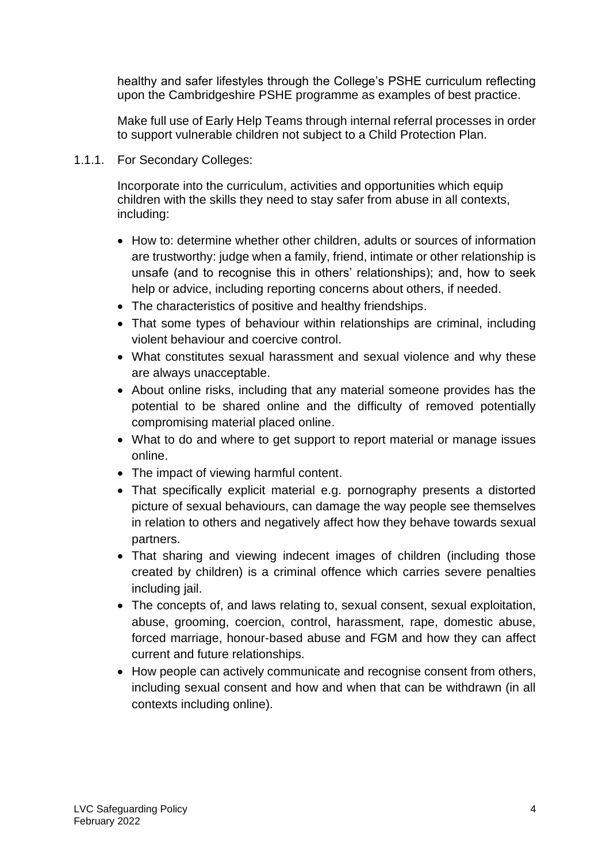healthy and safer lifestyles through the College's PSHE curriculum reflecting upon the Cambridgeshire PSHE programme as examples of best practice.

Make full use of Early Help Teams through internal referral processes in order to support vulnerable children not subject to a Child Protection Plan.

1.1.1. For Secondary Colleges:

Incorporate into the curriculum, activities and opportunities which equip children with the skills they need to stay safer from abuse in all contexts, including:

- How to: determine whether other children, adults or sources of information are trustworthy: judge when a family, friend, intimate or other relationship is unsafe (and to recognise this in others' relationships); and, how to seek help or advice, including reporting concerns about others, if needed.
- The characteristics of positive and healthy friendships.
- That some types of behaviour within relationships are criminal, including violent behaviour and coercive control.
- What constitutes sexual harassment and sexual violence and why these are always unacceptable.
- About online risks, including that any material someone provides has the potential to be shared online and the difficulty of removed potentially compromising material placed online.
- What to do and where to get support to report material or manage issues online.
- The impact of viewing harmful content.
- That specifically explicit material e.g. pornography presents a distorted picture of sexual behaviours, can damage the way people see themselves in relation to others and negatively affect how they behave towards sexual partners.
- That sharing and viewing indecent images of children (including those created by children) is a criminal offence which carries severe penalties including jail.
- The concepts of, and laws relating to, sexual consent, sexual exploitation, abuse, grooming, coercion, control, harassment, rape, domestic abuse, forced marriage, honour-based abuse and FGM and how they can affect current and future relationships.
- How people can actively communicate and recognise consent from others, including sexual consent and how and when that can be withdrawn (in all contexts including online).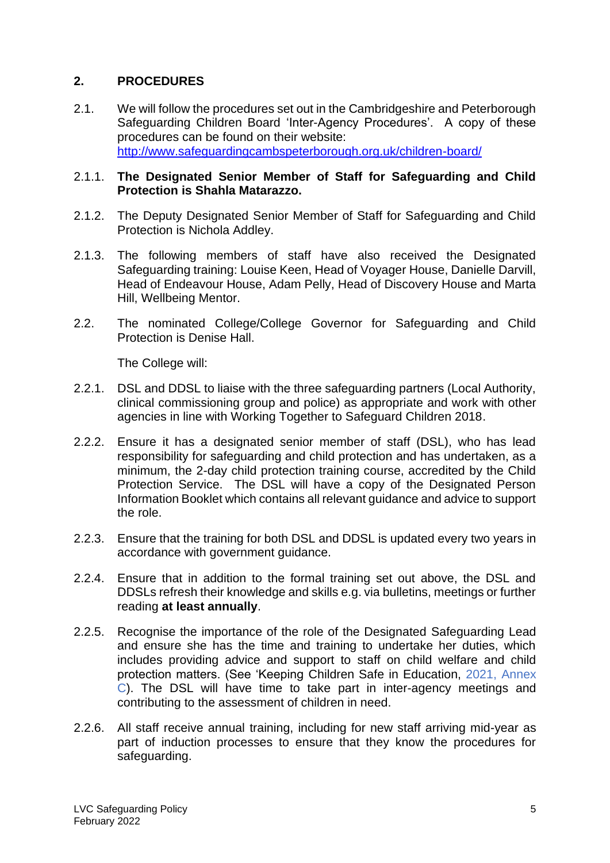# **2. PROCEDURES**

2.1. We will follow the procedures set out in the Cambridgeshire and Peterborough Safeguarding Children Board 'Inter-Agency Procedures'. A copy of these procedures can be found on their website: <http://www.safeguardingcambspeterborough.org.uk/children-board/>

#### 2.1.1. **The Designated Senior Member of Staff for Safeguarding and Child Protection is Shahla Matarazzo.**

- 2.1.2. The Deputy Designated Senior Member of Staff for Safeguarding and Child Protection is Nichola Addley.
- 2.1.3. The following members of staff have also received the Designated Safeguarding training: Louise Keen, Head of Voyager House, Danielle Darvill, Head of Endeavour House, Adam Pelly, Head of Discovery House and Marta Hill, Wellbeing Mentor.
- 2.2. The nominated College/College Governor for Safeguarding and Child Protection is Denise Hall.

- 2.2.1. DSL and DDSL to liaise with the three safeguarding partners (Local Authority, clinical commissioning group and police) as appropriate and work with other agencies in line with Working Together to Safeguard Children 2018.
- 2.2.2. Ensure it has a designated senior member of staff (DSL), who has lead responsibility for safeguarding and child protection and has undertaken, as a minimum, the 2-day child protection training course, accredited by the Child Protection Service. The DSL will have a copy of the Designated Person Information Booklet which contains all relevant guidance and advice to support the role.
- 2.2.3. Ensure that the training for both DSL and DDSL is updated every two years in accordance with government guidance.
- 2.2.4. Ensure that in addition to the formal training set out above, the DSL and DDSLs refresh their knowledge and skills e.g. via bulletins, meetings or further reading **at least annually**.
- 2.2.5. Recognise the importance of the role of the Designated Safeguarding Lead and ensure she has the time and training to undertake her duties, which includes providing advice and support to staff on child welfare and child protection matters. (See 'Keeping Children Safe in Education, 2021, Annex C). The DSL will have time to take part in inter-agency meetings and contributing to the assessment of children in need.
- 2.2.6. All staff receive annual training, including for new staff arriving mid-year as part of induction processes to ensure that they know the procedures for safeguarding.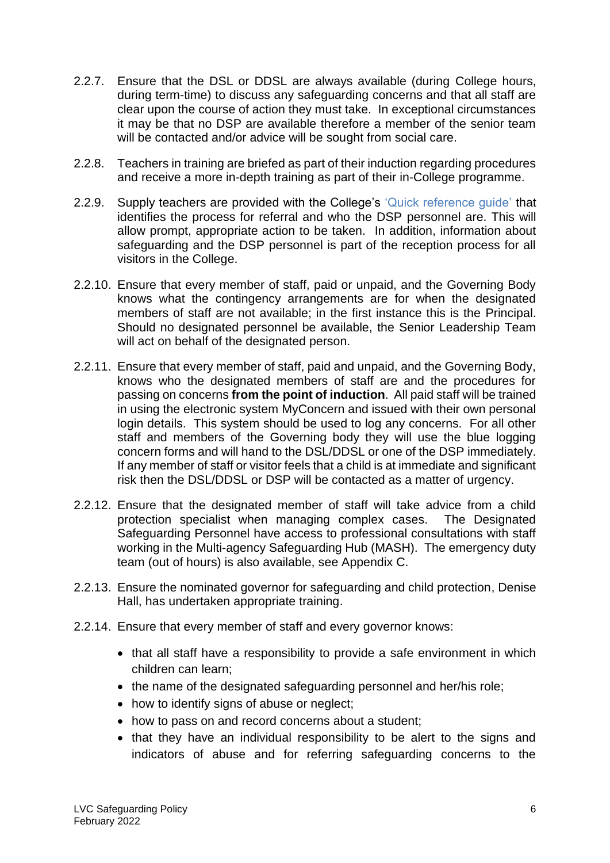- 2.2.7. Ensure that the DSL or DDSL are always available (during College hours, during term-time) to discuss any safeguarding concerns and that all staff are clear upon the course of action they must take. In exceptional circumstances it may be that no DSP are available therefore a member of the senior team will be contacted and/or advice will be sought from social care.
- 2.2.8. Teachers in training are briefed as part of their induction regarding procedures and receive a more in-depth training as part of their in-College programme.
- 2.2.9. Supply teachers are provided with the College's 'Quick reference quide' that identifies the process for referral and who the DSP personnel are. This will allow prompt, appropriate action to be taken. In addition, information about safeguarding and the DSP personnel is part of the reception process for all visitors in the College.
- 2.2.10. Ensure that every member of staff, paid or unpaid, and the Governing Body knows what the contingency arrangements are for when the designated members of staff are not available; in the first instance this is the Principal. Should no designated personnel be available, the Senior Leadership Team will act on behalf of the designated person.
- 2.2.11. Ensure that every member of staff, paid and unpaid, and the Governing Body, knows who the designated members of staff are and the procedures for passing on concerns **from the point of induction**. All paid staff will be trained in using the electronic system MyConcern and issued with their own personal login details. This system should be used to log any concerns. For all other staff and members of the Governing body they will use the blue logging concern forms and will hand to the DSL/DDSL or one of the DSP immediately. If any member of staff or visitor feels that a child is at immediate and significant risk then the DSL/DDSL or DSP will be contacted as a matter of urgency.
- 2.2.12. Ensure that the designated member of staff will take advice from a child protection specialist when managing complex cases. The Designated Safeguarding Personnel have access to professional consultations with staff working in the Multi-agency Safeguarding Hub (MASH). The emergency duty team (out of hours) is also available, see Appendix C.
- 2.2.13. Ensure the nominated governor for safeguarding and child protection, Denise Hall, has undertaken appropriate training.
- 2.2.14. Ensure that every member of staff and every governor knows:
	- that all staff have a responsibility to provide a safe environment in which children can learn;
	- the name of the designated safeguarding personnel and her/his role;
	- how to identify signs of abuse or neglect;
	- how to pass on and record concerns about a student:
	- that they have an individual responsibility to be alert to the signs and indicators of abuse and for referring safeguarding concerns to the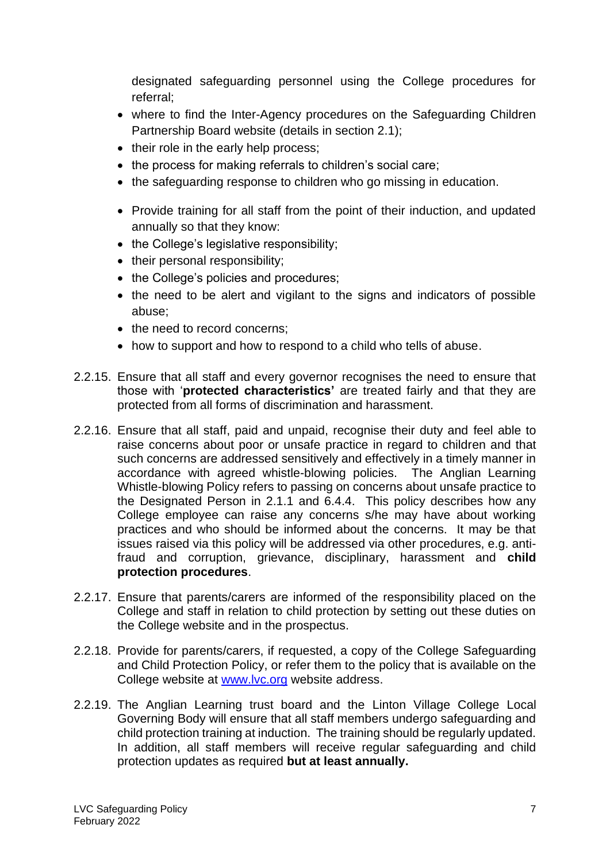designated safeguarding personnel using the College procedures for referral;

- where to find the Inter-Agency procedures on the Safeguarding Children Partnership Board website (details in section 2.1);
- their role in the early help process;
- the process for making referrals to children's social care;
- the safeguarding response to children who go missing in education.
- Provide training for all staff from the point of their induction, and updated annually so that they know:
- the College's legislative responsibility:
- their personal responsibility;
- the College's policies and procedures;
- the need to be alert and vigilant to the signs and indicators of possible abuse;
- the need to record concerns;
- how to support and how to respond to a child who tells of abuse.
- 2.2.15. Ensure that all staff and every governor recognises the need to ensure that those with '**protected characteristics'** are treated fairly and that they are protected from all forms of discrimination and harassment.
- 2.2.16. Ensure that all staff, paid and unpaid, recognise their duty and feel able to raise concerns about poor or unsafe practice in regard to children and that such concerns are addressed sensitively and effectively in a timely manner in accordance with agreed whistle-blowing policies. The Anglian Learning Whistle-blowing Policy refers to passing on concerns about unsafe practice to the Designated Person in 2.1.1 and 6.4.4. This policy describes how any College employee can raise any concerns s/he may have about working practices and who should be informed about the concerns. It may be that issues raised via this policy will be addressed via other procedures, e.g. antifraud and corruption, grievance, disciplinary, harassment and **child protection procedures**.
- 2.2.17. Ensure that parents/carers are informed of the responsibility placed on the College and staff in relation to child protection by setting out these duties on the College website and in the prospectus.
- 2.2.18. Provide for parents/carers, if requested, a copy of the College Safeguarding and Child Protection Policy, or refer them to the policy that is available on the College website at [www.lvc.org](http://www.lvc.org/) website address.
- 2.2.19. The Anglian Learning trust board and the Linton Village College Local Governing Body will ensure that all staff members undergo safeguarding and child protection training at induction. The training should be regularly updated. In addition, all staff members will receive regular safeguarding and child protection updates as required **but at least annually.**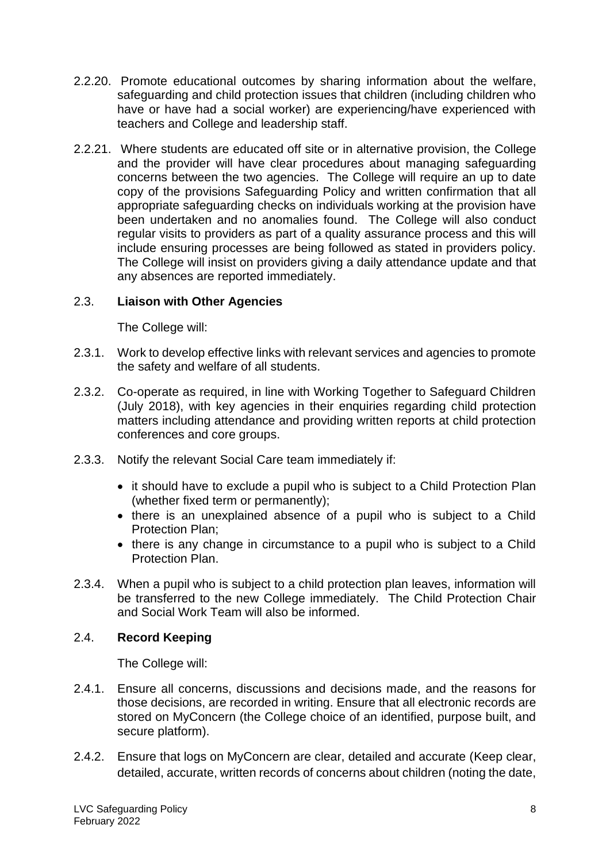- 2.2.20. Promote educational outcomes by sharing information about the welfare, safeguarding and child protection issues that children (including children who have or have had a social worker) are experiencing/have experienced with teachers and College and leadership staff.
- 2.2.21. Where students are educated off site or in alternative provision, the College and the provider will have clear procedures about managing safeguarding concerns between the two agencies. The College will require an up to date copy of the provisions Safeguarding Policy and written confirmation that all appropriate safeguarding checks on individuals working at the provision have been undertaken and no anomalies found. The College will also conduct regular visits to providers as part of a quality assurance process and this will include ensuring processes are being followed as stated in providers policy. The College will insist on providers giving a daily attendance update and that any absences are reported immediately.

# 2.3. **Liaison with Other Agencies**

The College will:

- 2.3.1. Work to develop effective links with relevant services and agencies to promote the safety and welfare of all students.
- 2.3.2. Co-operate as required, in line with Working Together to Safeguard Children (July 2018), with key agencies in their enquiries regarding child protection matters including attendance and providing written reports at child protection conferences and core groups.
- 2.3.3. Notify the relevant Social Care team immediately if:
	- it should have to exclude a pupil who is subject to a Child Protection Plan (whether fixed term or permanently);
	- there is an unexplained absence of a pupil who is subject to a Child Protection Plan;
	- there is any change in circumstance to a pupil who is subject to a Child Protection Plan.
- 2.3.4. When a pupil who is subject to a child protection plan leaves, information will be transferred to the new College immediately. The Child Protection Chair and Social Work Team will also be informed.

# 2.4. **Record Keeping**

- 2.4.1. Ensure all concerns, discussions and decisions made, and the reasons for those decisions, are recorded in writing. Ensure that all electronic records are stored on MyConcern (the College choice of an identified, purpose built, and secure platform).
- 2.4.2. Ensure that logs on MyConcern are clear, detailed and accurate (Keep clear, detailed, accurate, written records of concerns about children (noting the date,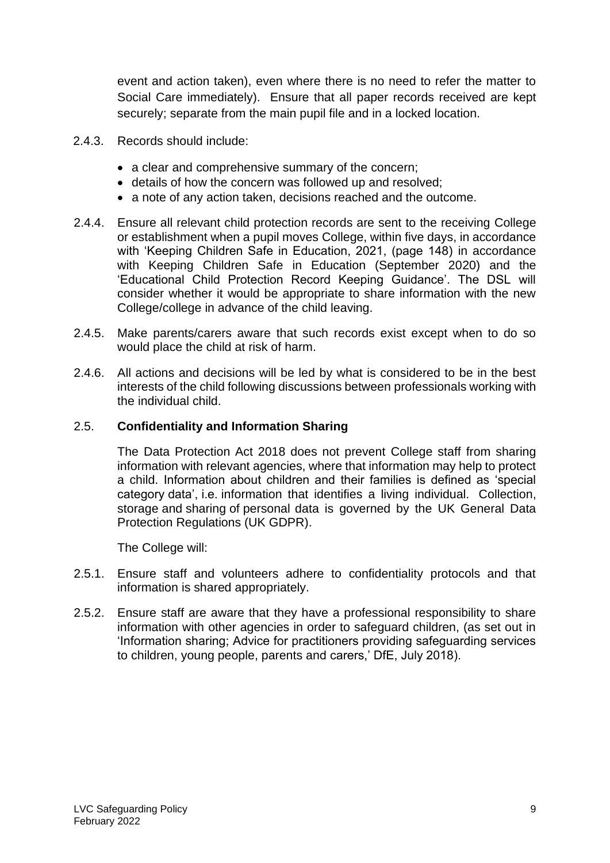event and action taken), even where there is no need to refer the matter to Social Care immediately). Ensure that all paper records received are kept securely; separate from the main pupil file and in a locked location.

- 2.4.3. Records should include:
	- a clear and comprehensive summary of the concern;
	- details of how the concern was followed up and resolved;
	- a note of any action taken, decisions reached and the outcome.
- 2.4.4. Ensure all relevant child protection records are sent to the receiving College or establishment when a pupil moves College, within five days, in accordance with 'Keeping Children Safe in Education, 2021, (page 148) in accordance with Keeping Children Safe in Education (September 2020) and the 'Educational Child Protection Record Keeping Guidance'. The DSL will consider whether it would be appropriate to share information with the new College/college in advance of the child leaving.
- 2.4.5. Make parents/carers aware that such records exist except when to do so would place the child at risk of harm.
- 2.4.6. All actions and decisions will be led by what is considered to be in the best interests of the child following discussions between professionals working with the individual child.

#### 2.5. **Confidentiality and Information Sharing**

The Data Protection Act 2018 does not prevent College staff from sharing information with relevant agencies, where that information may help to protect a child. Information about children and their families is defined as 'special category data', i.e. information that identifies a living individual. Collection, storage and sharing of personal data is governed by the UK General Data Protection Regulations (UK GDPR).

- 2.5.1. Ensure staff and volunteers adhere to confidentiality protocols and that information is shared appropriately.
- 2.5.2. Ensure staff are aware that they have a professional responsibility to share information with other agencies in order to safeguard children, (as set out in 'Information sharing; Advice for practitioners providing safeguarding services to children, young people, parents and carers,' DfE, July 2018).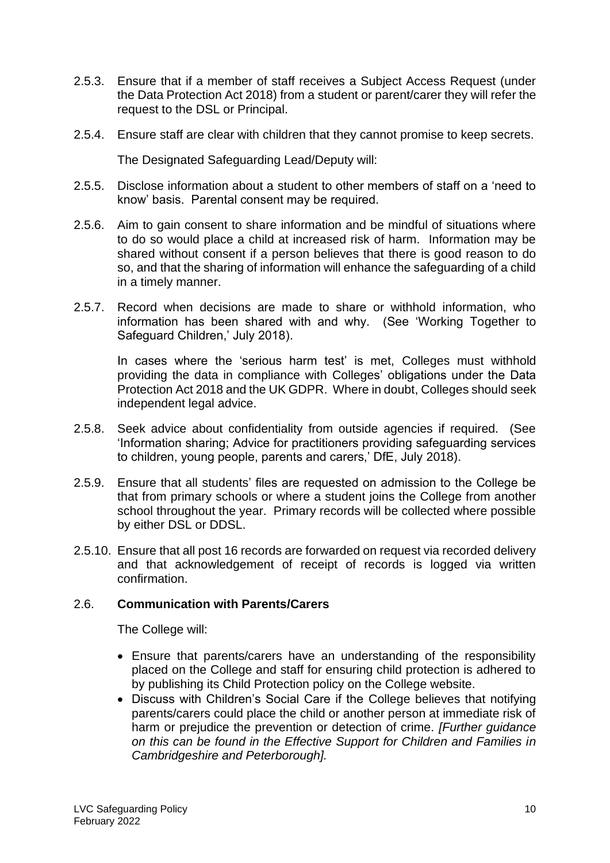- 2.5.3. Ensure that if a member of staff receives a Subject Access Request (under the Data Protection Act 2018) from a student or parent/carer they will refer the request to the DSL or Principal.
- 2.5.4. Ensure staff are clear with children that they cannot promise to keep secrets.

The Designated Safeguarding Lead/Deputy will:

- 2.5.5. Disclose information about a student to other members of staff on a 'need to know' basis. Parental consent may be required.
- 2.5.6. Aim to gain consent to share information and be mindful of situations where to do so would place a child at increased risk of harm. Information may be shared without consent if a person believes that there is good reason to do so, and that the sharing of information will enhance the safeguarding of a child in a timely manner.
- 2.5.7. Record when decisions are made to share or withhold information, who information has been shared with and why. (See 'Working Together to Safeguard Children,' July 2018).

In cases where the 'serious harm test' is met, Colleges must withhold providing the data in compliance with Colleges' obligations under the Data Protection Act 2018 and the UK GDPR. Where in doubt, Colleges should seek independent legal advice.

- 2.5.8. Seek advice about confidentiality from outside agencies if required. (See 'Information sharing; Advice for practitioners providing safeguarding services to children, young people, parents and carers,' DfE, July 2018).
- 2.5.9. Ensure that all students' files are requested on admission to the College be that from primary schools or where a student joins the College from another school throughout the year. Primary records will be collected where possible by either DSL or DDSL.
- 2.5.10. Ensure that all post 16 records are forwarded on request via recorded delivery and that acknowledgement of receipt of records is logged via written confirmation.

# 2.6. **Communication with Parents/Carers**

- Ensure that parents/carers have an understanding of the responsibility placed on the College and staff for ensuring child protection is adhered to by publishing its Child Protection policy on the College website.
- Discuss with Children's Social Care if the College believes that notifying parents/carers could place the child or another person at immediate risk of harm or prejudice the prevention or detection of crime. *[Further guidance on this can be found in the Effective Support for Children and Families in Cambridgeshire and Peterborough].*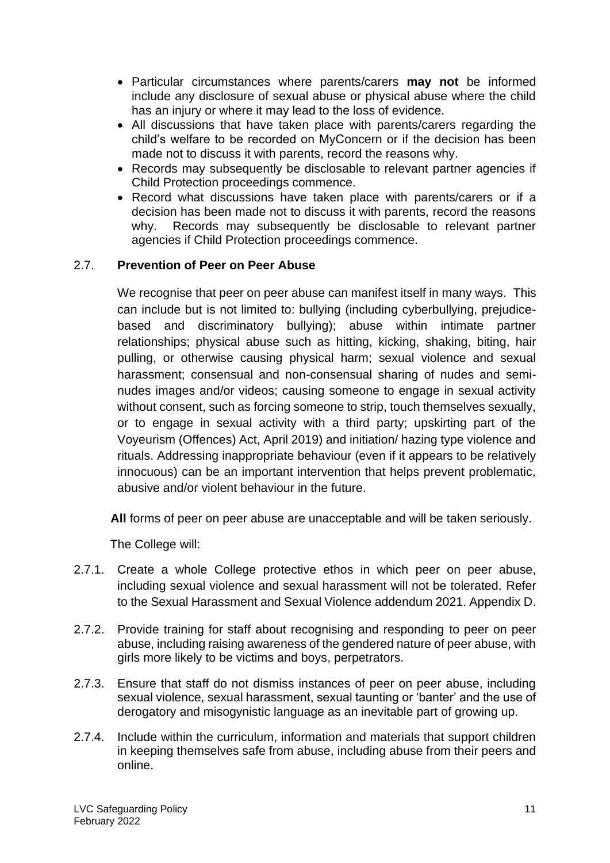- Particular circumstances where parents/carers **may not** be informed include any disclosure of sexual abuse or physical abuse where the child has an injury or where it may lead to the loss of evidence.
- All discussions that have taken place with parents/carers regarding the child's welfare to be recorded on MyConcern or if the decision has been made not to discuss it with parents, record the reasons why.
- Records may subsequently be disclosable to relevant partner agencies if Child Protection proceedings commence.
- Record what discussions have taken place with parents/carers or if a decision has been made not to discuss it with parents, record the reasons why. Records may subsequently be disclosable to relevant partner agencies if Child Protection proceedings commence.

# 2.7. **Prevention of Peer on Peer Abuse**

We recognise that peer on peer abuse can manifest itself in many ways. This can include but is not limited to: bullying (including cyberbullying, prejudicebased and discriminatory bullying); abuse within intimate partner relationships; physical abuse such as hitting, kicking, shaking, biting, hair pulling, or otherwise causing physical harm; sexual violence and sexual harassment; consensual and non-consensual sharing of nudes and seminudes images and/or videos; causing someone to engage in sexual activity without consent, such as forcing someone to strip, touch themselves sexually, or to engage in sexual activity with a third party; upskirting part of the Voyeurism (Offences) Act, April 2019) and initiation/ hazing type violence and rituals. Addressing inappropriate behaviour (even if it appears to be relatively innocuous) can be an important intervention that helps prevent problematic, abusive and/or violent behaviour in the future.

**All** forms of peer on peer abuse are unacceptable and will be taken seriously.

- 2.7.1. Create a whole College protective ethos in which peer on peer abuse, including sexual violence and sexual harassment will not be tolerated. Refer to the Sexual Harassment and Sexual Violence addendum 2021. Appendix D.
- 2.7.2. Provide training for staff about recognising and responding to peer on peer abuse, including raising awareness of the gendered nature of peer abuse, with girls more likely to be victims and boys, perpetrators.
- 2.7.3. Ensure that staff do not dismiss instances of peer on peer abuse, including sexual violence, sexual harassment, sexual taunting or 'banter' and the use of derogatory and misogynistic language as an inevitable part of growing up.
- 2.7.4. Include within the curriculum, information and materials that support children in keeping themselves safe from abuse, including abuse from their peers and online.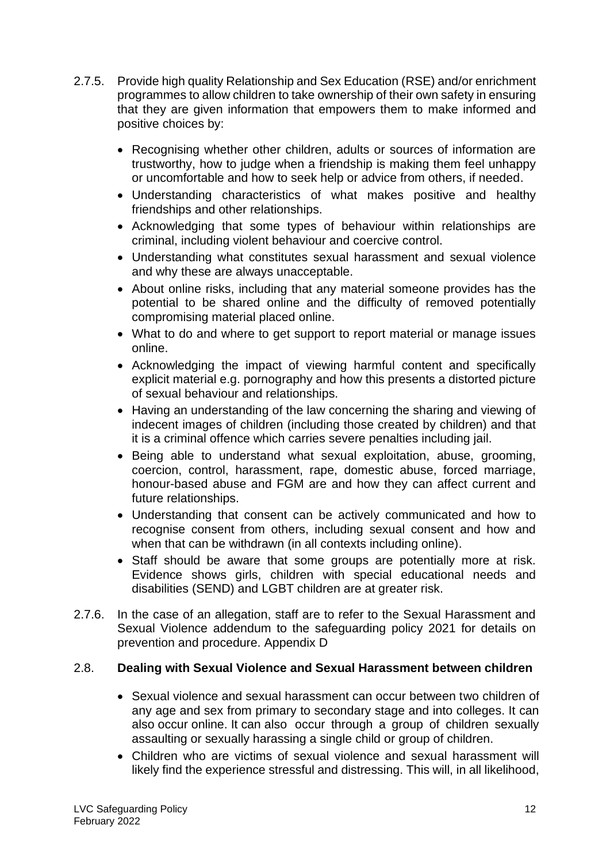- 2.7.5. Provide high quality Relationship and Sex Education (RSE) and/or enrichment programmes to allow children to take ownership of their own safety in ensuring that they are given information that empowers them to make informed and positive choices by:
	- Recognising whether other children, adults or sources of information are trustworthy, how to judge when a friendship is making them feel unhappy or uncomfortable and how to seek help or advice from others, if needed.
	- Understanding characteristics of what makes positive and healthy friendships and other relationships.
	- Acknowledging that some types of behaviour within relationships are criminal, including violent behaviour and coercive control.
	- Understanding what constitutes sexual harassment and sexual violence and why these are always unacceptable.
	- About online risks, including that any material someone provides has the potential to be shared online and the difficulty of removed potentially compromising material placed online.
	- What to do and where to get support to report material or manage issues online.
	- Acknowledging the impact of viewing harmful content and specifically explicit material e.g. pornography and how this presents a distorted picture of sexual behaviour and relationships.
	- Having an understanding of the law concerning the sharing and viewing of indecent images of children (including those created by children) and that it is a criminal offence which carries severe penalties including jail.
	- Being able to understand what sexual exploitation, abuse, grooming, coercion, control, harassment, rape, domestic abuse, forced marriage, honour-based abuse and FGM are and how they can affect current and future relationships.
	- Understanding that consent can be actively communicated and how to recognise consent from others, including sexual consent and how and when that can be withdrawn (in all contexts including online).
	- Staff should be aware that some groups are potentially more at risk. Evidence shows girls, children with special educational needs and disabilities (SEND) and LGBT children are at greater risk.
- 2.7.6. In the case of an allegation, staff are to refer to the Sexual Harassment and Sexual Violence addendum to the safeguarding policy 2021 for details on prevention and procedure. Appendix D

# 2.8. **Dealing with Sexual Violence and Sexual Harassment between children**

- Sexual violence and sexual harassment can occur between two children of any age and sex from primary to secondary stage and into colleges. It can also occur online. It can also occur through a group of children sexually assaulting or sexually harassing a single child or group of children.
- Children who are victims of sexual violence and sexual harassment will likely find the experience stressful and distressing. This will, in all likelihood,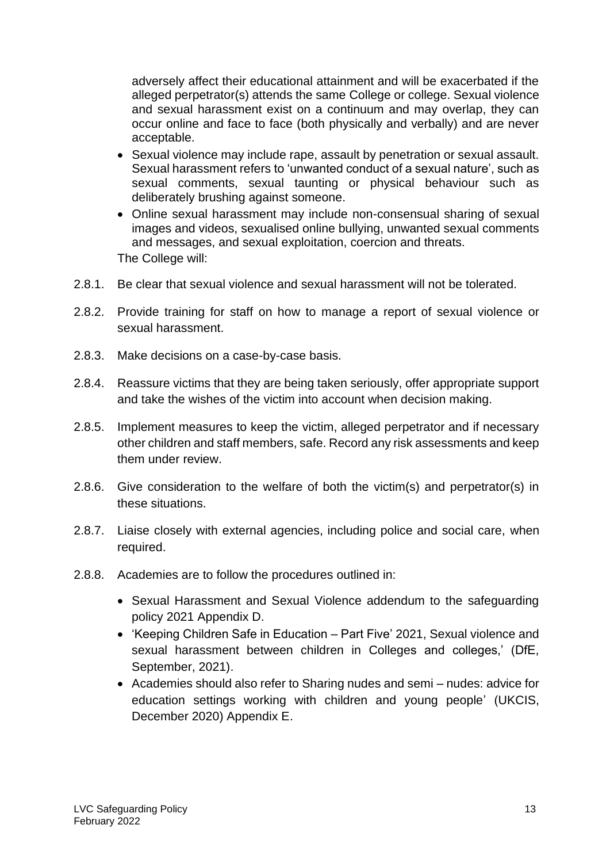adversely affect their educational attainment and will be exacerbated if the alleged perpetrator(s) attends the same College or college. Sexual violence and sexual harassment exist on a continuum and may overlap, they can occur online and face to face (both physically and verbally) and are never acceptable.

- Sexual violence may include rape, assault by penetration or sexual assault. Sexual harassment refers to 'unwanted conduct of a sexual nature', such as sexual comments, sexual taunting or physical behaviour such as deliberately brushing against someone.
- Online sexual harassment may include non-consensual sharing of sexual images and videos, sexualised online bullying, unwanted sexual comments and messages, and sexual exploitation, coercion and threats. The College will:
- 2.8.1. Be clear that sexual violence and sexual harassment will not be tolerated.
- 2.8.2. Provide training for staff on how to manage a report of sexual violence or sexual harassment.
- 2.8.3. Make decisions on a case-by-case basis.
- 2.8.4. Reassure victims that they are being taken seriously, offer appropriate support and take the wishes of the victim into account when decision making.
- 2.8.5. Implement measures to keep the victim, alleged perpetrator and if necessary other children and staff members, safe. Record any risk assessments and keep them under review.
- 2.8.6. Give consideration to the welfare of both the victim(s) and perpetrator(s) in these situations.
- 2.8.7. Liaise closely with external agencies, including police and social care, when required.
- 2.8.8. Academies are to follow the procedures outlined in:
	- Sexual Harassment and Sexual Violence addendum to the safeguarding policy 2021 Appendix D.
	- 'Keeping Children Safe in Education Part Five' 2021, Sexual violence and sexual harassment between children in Colleges and colleges,' (DfE, September, 2021).
	- Academies should also refer to Sharing nudes and semi nudes: advice for education settings working with children and young people' (UKCIS, December 2020) Appendix E.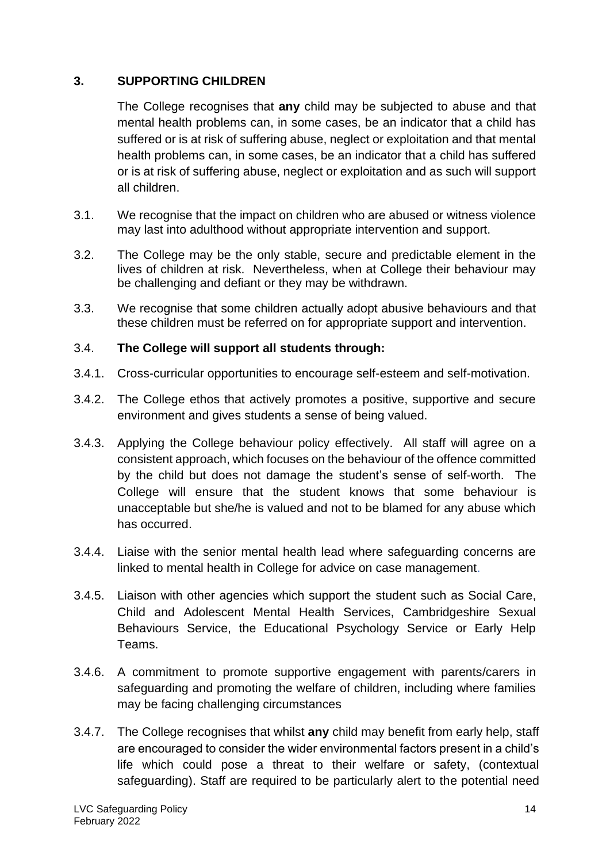# **3. SUPPORTING CHILDREN**

The College recognises that **any** child may be subjected to abuse and that mental health problems can, in some cases, be an indicator that a child has suffered or is at risk of suffering abuse, neglect or exploitation and that mental health problems can, in some cases, be an indicator that a child has suffered or is at risk of suffering abuse, neglect or exploitation and as such will support all children.

- 3.1. We recognise that the impact on children who are abused or witness violence may last into adulthood without appropriate intervention and support.
- 3.2. The College may be the only stable, secure and predictable element in the lives of children at risk. Nevertheless, when at College their behaviour may be challenging and defiant or they may be withdrawn.
- 3.3. We recognise that some children actually adopt abusive behaviours and that these children must be referred on for appropriate support and intervention.

### 3.4. **The College will support all students through:**

- 3.4.1. Cross-curricular opportunities to encourage self-esteem and self-motivation.
- 3.4.2. The College ethos that actively promotes a positive, supportive and secure environment and gives students a sense of being valued.
- 3.4.3. Applying the College behaviour policy effectively. All staff will agree on a consistent approach, which focuses on the behaviour of the offence committed by the child but does not damage the student's sense of self-worth. The College will ensure that the student knows that some behaviour is unacceptable but she/he is valued and not to be blamed for any abuse which has occurred.
- 3.4.4. Liaise with the senior mental health lead where safeguarding concerns are linked to mental health in College for advice on case management.
- 3.4.5. Liaison with other agencies which support the student such as Social Care, Child and Adolescent Mental Health Services, Cambridgeshire Sexual Behaviours Service, the Educational Psychology Service or Early Help Teams.
- 3.4.6. A commitment to promote supportive engagement with parents/carers in safeguarding and promoting the welfare of children, including where families may be facing challenging circumstances
- 3.4.7. The College recognises that whilst **any** child may benefit from early help, staff are encouraged to consider the wider environmental factors present in a child's life which could pose a threat to their welfare or safety, (contextual safeguarding). Staff are required to be particularly alert to the potential need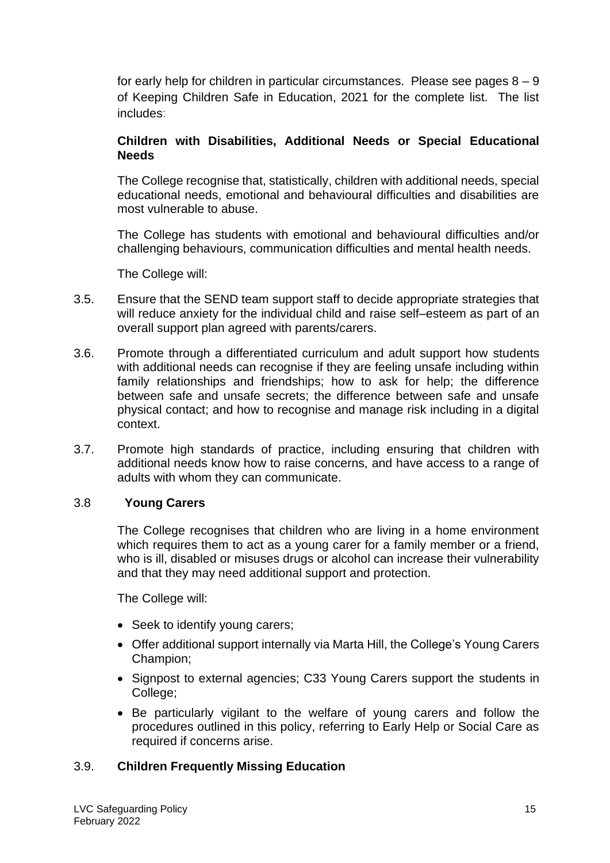for early help for children in particular circumstances. Please see pages  $8 - 9$ of Keeping Children Safe in Education, 2021 for the complete list. The list includes:

# **Children with Disabilities, Additional Needs or Special Educational Needs**

The College recognise that, statistically, children with additional needs, special educational needs, emotional and behavioural difficulties and disabilities are most vulnerable to abuse.

The College has students with emotional and behavioural difficulties and/or challenging behaviours, communication difficulties and mental health needs.

The College will:

- 3.5. Ensure that the SEND team support staff to decide appropriate strategies that will reduce anxiety for the individual child and raise self–esteem as part of an overall support plan agreed with parents/carers.
- 3.6. Promote through a differentiated curriculum and adult support how students with additional needs can recognise if they are feeling unsafe including within family relationships and friendships; how to ask for help; the difference between safe and unsafe secrets; the difference between safe and unsafe physical contact; and how to recognise and manage risk including in a digital context.
- 3.7. Promote high standards of practice, including ensuring that children with additional needs know how to raise concerns, and have access to a range of adults with whom they can communicate.

#### 3.8 **Young Carers**

The College recognises that children who are living in a home environment which requires them to act as a young carer for a family member or a friend. who is ill, disabled or misuses drugs or alcohol can increase their vulnerability and that they may need additional support and protection.

The College will:

- Seek to identify young carers:
- Offer additional support internally via Marta Hill, the College's Young Carers Champion;
- Signpost to external agencies; C33 Young Carers support the students in College;
- Be particularly vigilant to the welfare of young carers and follow the procedures outlined in this policy, referring to Early Help or Social Care as required if concerns arise.

# 3.9. **Children Frequently Missing Education**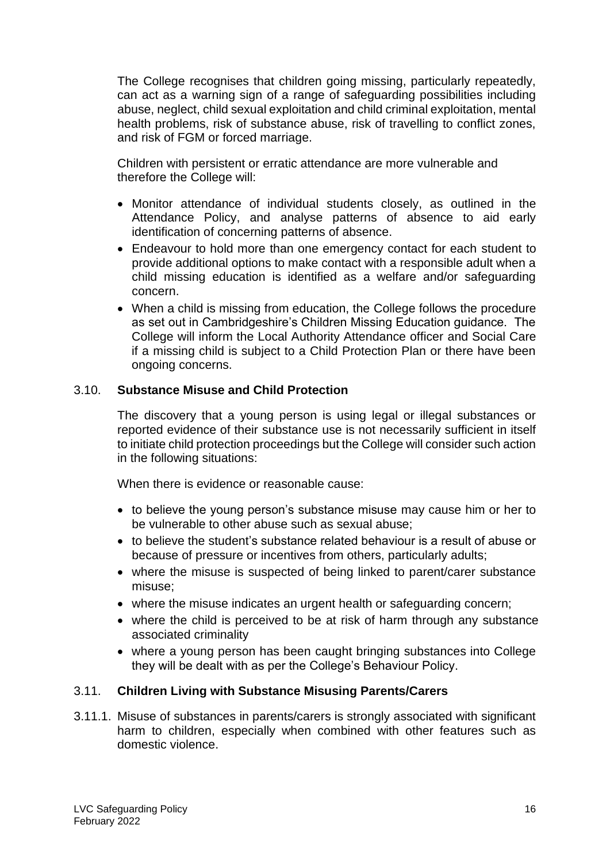The College recognises that children going missing, particularly repeatedly, can act as a warning sign of a range of safeguarding possibilities including abuse, neglect, child sexual exploitation and child criminal exploitation, mental health problems, risk of substance abuse, risk of travelling to conflict zones, and risk of FGM or forced marriage.

Children with persistent or erratic attendance are more vulnerable and therefore the College will:

- Monitor attendance of individual students closely, as outlined in the Attendance Policy, and analyse patterns of absence to aid early identification of concerning patterns of absence.
- Endeavour to hold more than one emergency contact for each student to provide additional options to make contact with a responsible adult when a child missing education is identified as a welfare and/or safeguarding concern.
- When a child is missing from education, the College follows the procedure as set out in Cambridgeshire's Children Missing Education guidance. The College will inform the Local Authority Attendance officer and Social Care if a missing child is subject to a Child Protection Plan or there have been ongoing concerns.

# 3.10. **Substance Misuse and Child Protection**

The discovery that a young person is using legal or illegal substances or reported evidence of their substance use is not necessarily sufficient in itself to initiate child protection proceedings but the College will consider such action in the following situations:

When there is evidence or reasonable cause:

- to believe the young person's substance misuse may cause him or her to be vulnerable to other abuse such as sexual abuse;
- to believe the student's substance related behaviour is a result of abuse or because of pressure or incentives from others, particularly adults;
- where the misuse is suspected of being linked to parent/carer substance misuse;
- where the misuse indicates an urgent health or safeguarding concern;
- where the child is perceived to be at risk of harm through any substance associated criminality
- where a young person has been caught bringing substances into College they will be dealt with as per the College's Behaviour Policy.

#### 3.11. **Children Living with Substance Misusing Parents/Carers**

3.11.1. Misuse of substances in parents/carers is strongly associated with significant harm to children, especially when combined with other features such as domestic violence.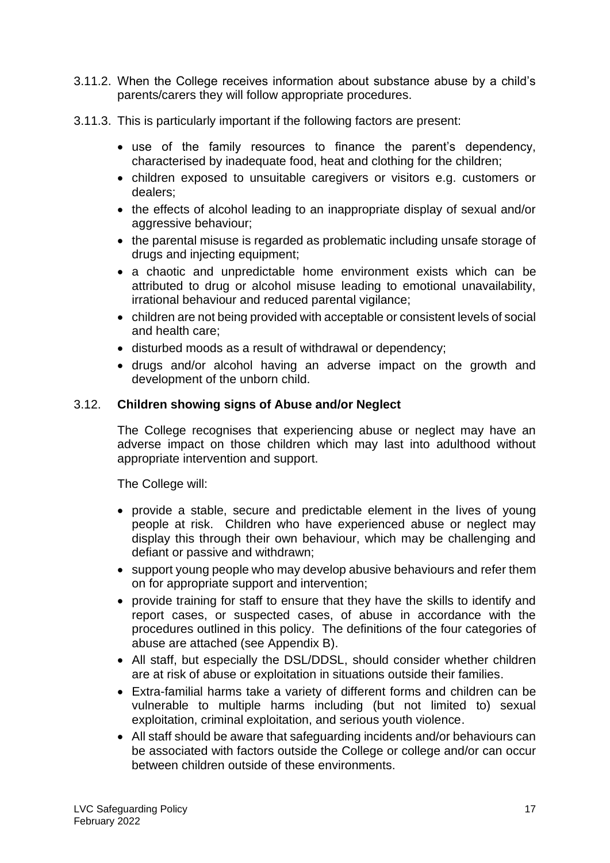- 3.11.2. When the College receives information about substance abuse by a child's parents/carers they will follow appropriate procedures.
- 3.11.3. This is particularly important if the following factors are present:
	- use of the family resources to finance the parent's dependency, characterised by inadequate food, heat and clothing for the children;
	- children exposed to unsuitable caregivers or visitors e.g. customers or dealers;
	- the effects of alcohol leading to an inappropriate display of sexual and/or aggressive behaviour:
	- the parental misuse is regarded as problematic including unsafe storage of drugs and injecting equipment;
	- a chaotic and unpredictable home environment exists which can be attributed to drug or alcohol misuse leading to emotional unavailability, irrational behaviour and reduced parental vigilance;
	- children are not being provided with acceptable or consistent levels of social and health care;
	- disturbed moods as a result of withdrawal or dependency;
	- drugs and/or alcohol having an adverse impact on the growth and development of the unborn child.

# 3.12. **Children showing signs of Abuse and/or Neglect**

The College recognises that experiencing abuse or neglect may have an adverse impact on those children which may last into adulthood without appropriate intervention and support.

- provide a stable, secure and predictable element in the lives of young people at risk. Children who have experienced abuse or neglect may display this through their own behaviour, which may be challenging and defiant or passive and withdrawn;
- support young people who may develop abusive behaviours and refer them on for appropriate support and intervention;
- provide training for staff to ensure that they have the skills to identify and report cases, or suspected cases, of abuse in accordance with the procedures outlined in this policy. The definitions of the four categories of abuse are attached (see Appendix B).
- All staff, but especially the DSL/DDSL, should consider whether children are at risk of abuse or exploitation in situations outside their families.
- Extra-familial harms take a variety of different forms and children can be vulnerable to multiple harms including (but not limited to) sexual exploitation, criminal exploitation, and serious youth violence.
- All staff should be aware that safeguarding incidents and/or behaviours can be associated with factors outside the College or college and/or can occur between children outside of these environments.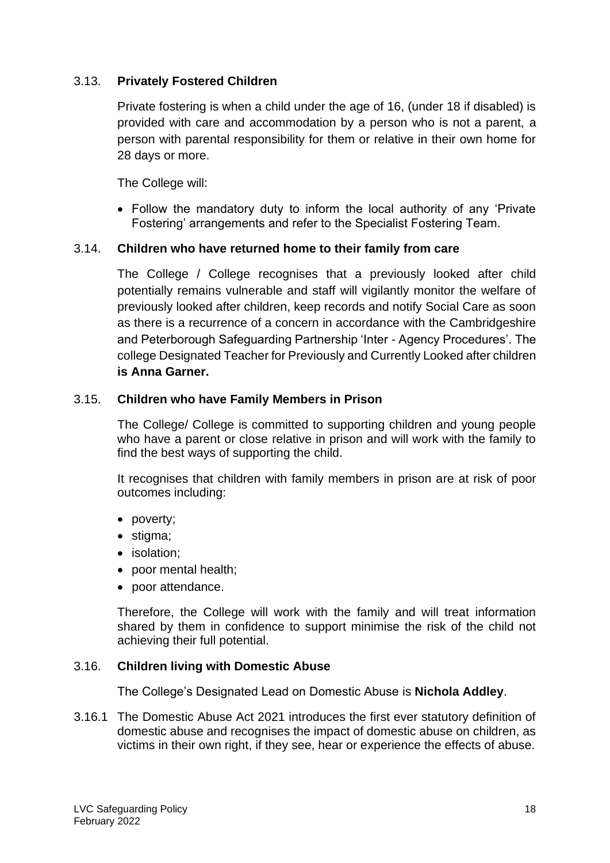# 3.13. **Privately Fostered Children**

Private fostering is when a child under the age of 16, (under 18 if disabled) is provided with care and accommodation by a person who is not a parent, a person with parental responsibility for them or relative in their own home for 28 days or more.

The College will:

• Follow the mandatory duty to inform the local authority of any 'Private Fostering' arrangements and refer to the Specialist Fostering Team.

### 3.14. **Children who have returned home to their family from care**

The College / College recognises that a previously looked after child potentially remains vulnerable and staff will vigilantly monitor the welfare of previously looked after children, keep records and notify Social Care as soon as there is a recurrence of a concern in accordance with the Cambridgeshire and Peterborough Safeguarding Partnership 'Inter - Agency Procedures'. The college Designated Teacher for Previously and Currently Looked after children **is Anna Garner.**

### 3.15. **Children who have Family Members in Prison**

The College/ College is committed to supporting children and young people who have a parent or close relative in prison and will work with the family to find the best ways of supporting the child.

It recognises that children with family members in prison are at risk of poor outcomes including:

- poverty;
- stigma;
- isolation;
- poor mental health;
- poor attendance.

Therefore, the College will work with the family and will treat information shared by them in confidence to support minimise the risk of the child not achieving their full potential.

#### 3.16. **Children living with Domestic Abuse**

The College's Designated Lead on Domestic Abuse is **Nichola Addley**.

3.16.1 The Domestic Abuse Act 2021 introduces the first ever statutory definition of domestic abuse and recognises the impact of domestic abuse on children, as victims in their own right, if they see, hear or experience the effects of abuse.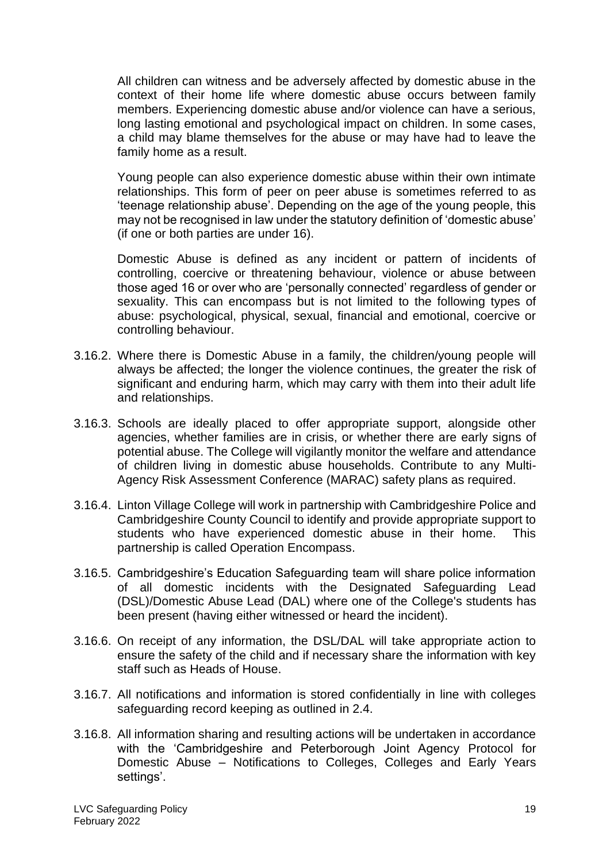All children can witness and be adversely affected by domestic abuse in the context of their home life where domestic abuse occurs between family members. Experiencing domestic abuse and/or violence can have a serious, long lasting emotional and psychological impact on children. In some cases, a child may blame themselves for the abuse or may have had to leave the family home as a result.

Young people can also experience domestic abuse within their own intimate relationships. This form of peer on peer abuse is sometimes referred to as 'teenage relationship abuse'. Depending on the age of the young people, this may not be recognised in law under the statutory definition of 'domestic abuse' (if one or both parties are under 16).

Domestic Abuse is defined as any incident or pattern of incidents of controlling, coercive or threatening behaviour, violence or abuse between those aged 16 or over who are 'personally connected' regardless of gender or sexuality. This can encompass but is not limited to the following types of abuse: psychological, physical, sexual, financial and emotional, coercive or controlling behaviour.

- 3.16.2. Where there is Domestic Abuse in a family, the children/young people will always be affected; the longer the violence continues, the greater the risk of significant and enduring harm, which may carry with them into their adult life and relationships.
- 3.16.3. Schools are ideally placed to offer appropriate support, alongside other agencies, whether families are in crisis, or whether there are early signs of potential abuse. The College will vigilantly monitor the welfare and attendance of children living in domestic abuse households. Contribute to any Multi-Agency Risk Assessment Conference (MARAC) safety plans as required.
- 3.16.4. Linton Village College will work in partnership with Cambridgeshire Police and Cambridgeshire County Council to identify and provide appropriate support to students who have experienced domestic abuse in their home. This partnership is called Operation Encompass.
- 3.16.5. Cambridgeshire's Education Safeguarding team will share police information of all domestic incidents with the Designated Safeguarding Lead (DSL)/Domestic Abuse Lead (DAL) where one of the College's students has been present (having either witnessed or heard the incident).
- 3.16.6. On receipt of any information, the DSL/DAL will take appropriate action to ensure the safety of the child and if necessary share the information with key staff such as Heads of House.
- 3.16.7. All notifications and information is stored confidentially in line with colleges safeguarding record keeping as outlined in 2.4.
- 3.16.8. All information sharing and resulting actions will be undertaken in accordance with the 'Cambridgeshire and Peterborough Joint Agency Protocol for Domestic Abuse – Notifications to Colleges, Colleges and Early Years settings'.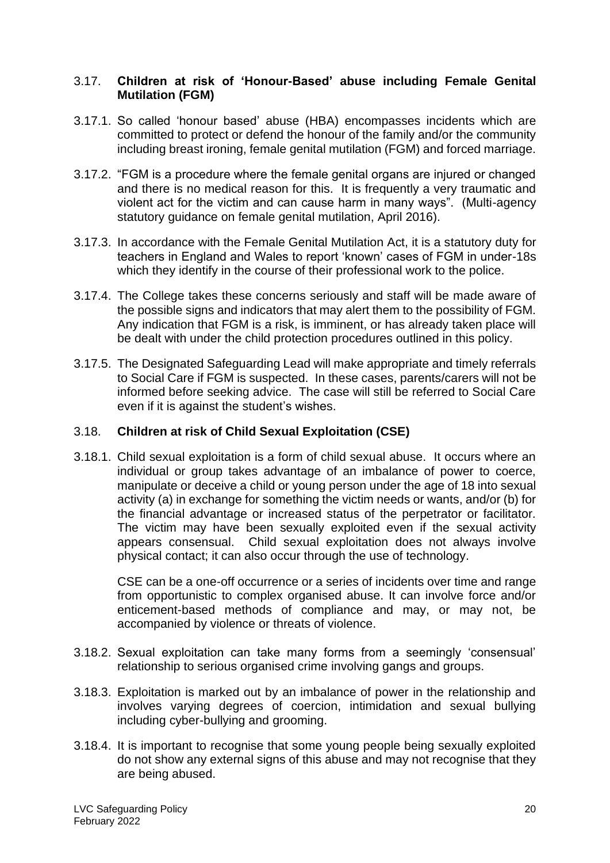#### 3.17. **Children at risk of 'Honour-Based' abuse including Female Genital Mutilation (FGM)**

- 3.17.1. So called 'honour based' abuse (HBA) encompasses incidents which are committed to protect or defend the honour of the family and/or the community including breast ironing, female genital mutilation (FGM) and forced marriage.
- 3.17.2. "FGM is a procedure where the female genital organs are injured or changed and there is no medical reason for this. It is frequently a very traumatic and violent act for the victim and can cause harm in many ways". (Multi-agency statutory guidance on female genital mutilation, April 2016).
- 3.17.3. In accordance with the Female Genital Mutilation Act, it is a statutory duty for teachers in England and Wales to report 'known' cases of FGM in under-18s which they identify in the course of their professional work to the police.
- 3.17.4. The College takes these concerns seriously and staff will be made aware of the possible signs and indicators that may alert them to the possibility of FGM. Any indication that FGM is a risk, is imminent, or has already taken place will be dealt with under the child protection procedures outlined in this policy.
- 3.17.5. The Designated Safeguarding Lead will make appropriate and timely referrals to Social Care if FGM is suspected. In these cases, parents/carers will not be informed before seeking advice. The case will still be referred to Social Care even if it is against the student's wishes.

# 3.18. **Children at risk of Child Sexual Exploitation (CSE)**

3.18.1. Child sexual exploitation is a form of child sexual abuse. It occurs where an individual or group takes advantage of an imbalance of power to coerce, manipulate or deceive a child or young person under the age of 18 into sexual activity (a) in exchange for something the victim needs or wants, and/or (b) for the financial advantage or increased status of the perpetrator or facilitator. The victim may have been sexually exploited even if the sexual activity appears consensual. Child sexual exploitation does not always involve physical contact; it can also occur through the use of technology.

CSE can be a one-off occurrence or a series of incidents over time and range from opportunistic to complex organised abuse. It can involve force and/or enticement-based methods of compliance and may, or may not, be accompanied by violence or threats of violence.

- 3.18.2. Sexual exploitation can take many forms from a seemingly 'consensual' relationship to serious organised crime involving gangs and groups.
- 3.18.3. Exploitation is marked out by an imbalance of power in the relationship and involves varying degrees of coercion, intimidation and sexual bullying including cyber-bullying and grooming.
- 3.18.4. It is important to recognise that some young people being sexually exploited do not show any external signs of this abuse and may not recognise that they are being abused.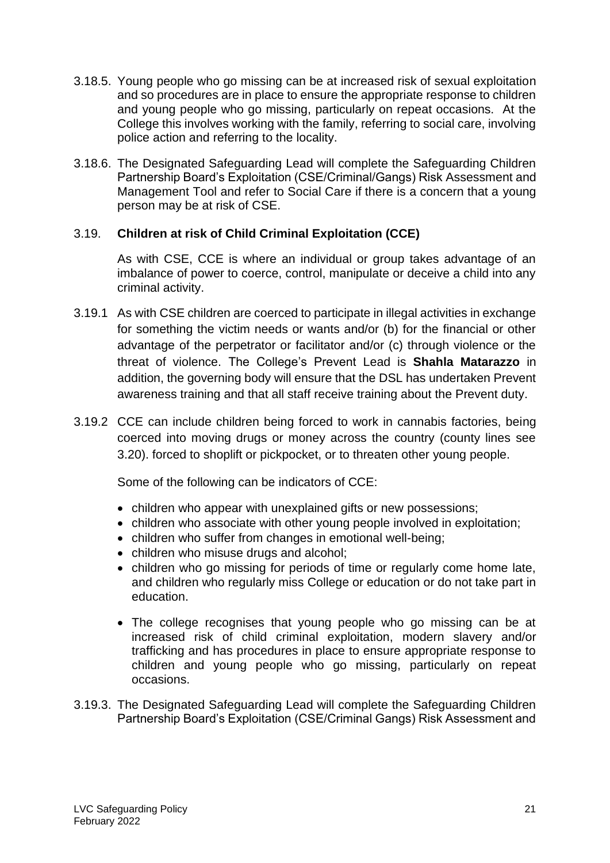- 3.18.5. Young people who go missing can be at increased risk of sexual exploitation and so procedures are in place to ensure the appropriate response to children and young people who go missing, particularly on repeat occasions. At the College this involves working with the family, referring to social care, involving police action and referring to the locality.
- 3.18.6. The Designated Safeguarding Lead will complete the Safeguarding Children Partnership Board's Exploitation (CSE/Criminal/Gangs) Risk Assessment and Management Tool and refer to Social Care if there is a concern that a young person may be at risk of CSE.

# 3.19. **Children at risk of Child Criminal Exploitation (CCE)**

As with CSE, CCE is where an individual or group takes advantage of an imbalance of power to coerce, control, manipulate or deceive a child into any criminal activity.

- 3.19.1 As with CSE children are coerced to participate in illegal activities in exchange for something the victim needs or wants and/or (b) for the financial or other advantage of the perpetrator or facilitator and/or (c) through violence or the threat of violence. The College's Prevent Lead is **Shahla Matarazzo** in addition, the governing body will ensure that the DSL has undertaken Prevent awareness training and that all staff receive training about the Prevent duty.
- 3.19.2 CCE can include children being forced to work in cannabis factories, being coerced into moving drugs or money across the country (county lines see 3.20). forced to shoplift or pickpocket, or to threaten other young people.

Some of the following can be indicators of CCE:

- children who appear with unexplained gifts or new possessions;
- children who associate with other young people involved in exploitation:
- children who suffer from changes in emotional well-being;
- children who misuse drugs and alcohol;
- children who go missing for periods of time or regularly come home late, and children who regularly miss College or education or do not take part in education.
- The college recognises that young people who go missing can be at increased risk of child criminal exploitation, modern slavery and/or trafficking and has procedures in place to ensure appropriate response to children and young people who go missing, particularly on repeat occasions.
- 3.19.3. The Designated Safeguarding Lead will complete the Safeguarding Children Partnership Board's Exploitation (CSE/Criminal Gangs) Risk Assessment and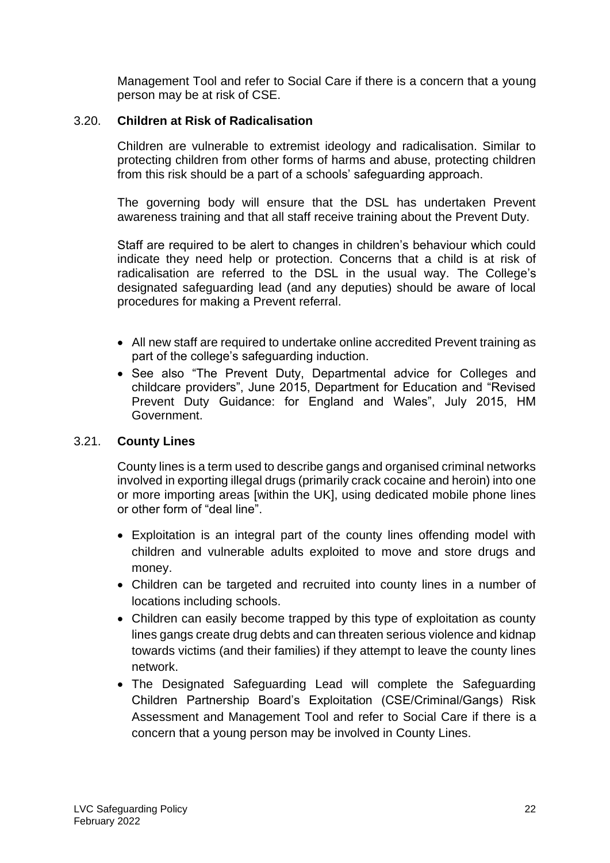Management Tool and refer to Social Care if there is a concern that a young person may be at risk of CSE.

### 3.20. **Children at Risk of Radicalisation**

Children are vulnerable to extremist ideology and radicalisation. Similar to protecting children from other forms of harms and abuse, protecting children from this risk should be a part of a schools' safeguarding approach.

The governing body will ensure that the DSL has undertaken Prevent awareness training and that all staff receive training about the Prevent Duty.

Staff are required to be alert to changes in children's behaviour which could indicate they need help or protection. Concerns that a child is at risk of radicalisation are referred to the DSL in the usual way. The College's designated safeguarding lead (and any deputies) should be aware of local procedures for making a Prevent referral.

- All new staff are required to undertake online accredited Prevent training as part of the college's safeguarding induction.
- See also "The Prevent Duty, Departmental advice for Colleges and childcare providers", June 2015, Department for Education and "Revised Prevent Duty Guidance: for England and Wales", July 2015, HM Government.

# 3.21. **County Lines**

County lines is a term used to describe gangs and organised criminal networks involved in exporting illegal drugs (primarily crack cocaine and heroin) into one or more importing areas [within the UK], using dedicated mobile phone lines or other form of "deal line".

- Exploitation is an integral part of the county lines offending model with children and vulnerable adults exploited to move and store drugs and money.
- Children can be targeted and recruited into county lines in a number of locations including schools.
- Children can easily become trapped by this type of exploitation as county lines gangs create drug debts and can threaten serious violence and kidnap towards victims (and their families) if they attempt to leave the county lines network.
- The Designated Safeguarding Lead will complete the Safeguarding Children Partnership Board's Exploitation (CSE/Criminal/Gangs) Risk Assessment and Management Tool and refer to Social Care if there is a concern that a young person may be involved in County Lines.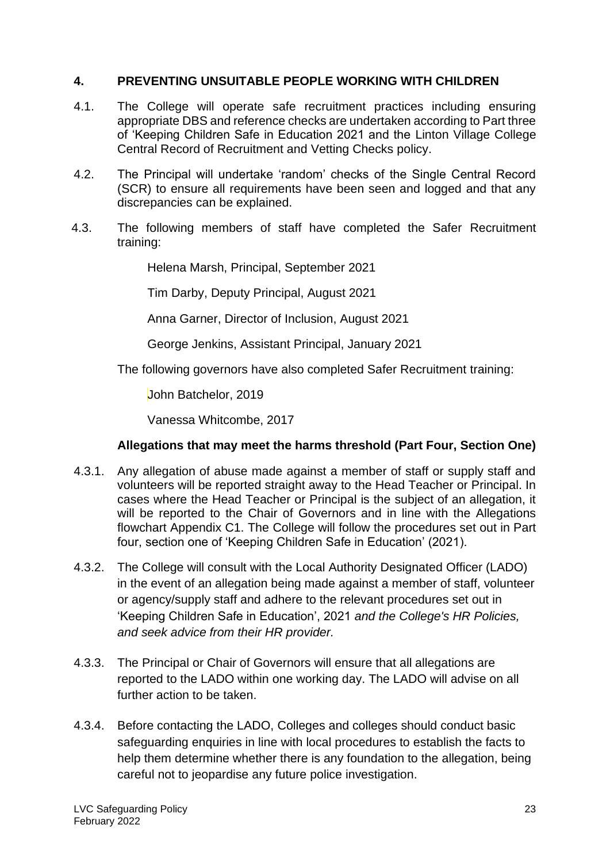#### **4. PREVENTING UNSUITABLE PEOPLE WORKING WITH CHILDREN**

- 4.1. The College will operate safe recruitment practices including ensuring appropriate DBS and reference checks are undertaken according to Part three of 'Keeping Children Safe in Education 2021 and the Linton Village College Central Record of Recruitment and Vetting Checks policy.
- 4.2. The Principal will undertake 'random' checks of the Single Central Record (SCR) to ensure all requirements have been seen and logged and that any discrepancies can be explained.
- 4.3. The following members of staff have completed the Safer Recruitment training:

Helena Marsh, Principal, September 2021

Tim Darby, Deputy Principal, August 2021

Anna Garner, Director of Inclusion, August 2021

George Jenkins, Assistant Principal, January 2021

The following governors have also completed Safer Recruitment training:

John Batchelor, 2019

Vanessa Whitcombe, 2017

# **Allegations that may meet the harms threshold (Part Four, Section One)**

- 4.3.1. Any allegation of abuse made against a member of staff or supply staff and volunteers will be reported straight away to the Head Teacher or Principal. In cases where the Head Teacher or Principal is the subject of an allegation, it will be reported to the Chair of Governors and in line with the Allegations flowchart Appendix C1. The College will follow the procedures set out in Part four, section one of 'Keeping Children Safe in Education' (2021).
- 4.3.2. The College will consult with the Local Authority Designated Officer (LADO) in the event of an allegation being made against a member of staff, volunteer or agency/supply staff and adhere to the relevant procedures set out in 'Keeping Children Safe in Education', 2021 *and the College's HR Policies, and seek advice from their HR provider.*
- 4.3.3. The Principal or Chair of Governors will ensure that all allegations are reported to the LADO within one working day. The LADO will advise on all further action to be taken.
- 4.3.4. Before contacting the LADO, Colleges and colleges should conduct basic safeguarding enquiries in line with local procedures to establish the facts to help them determine whether there is any foundation to the allegation, being careful not to jeopardise any future police investigation.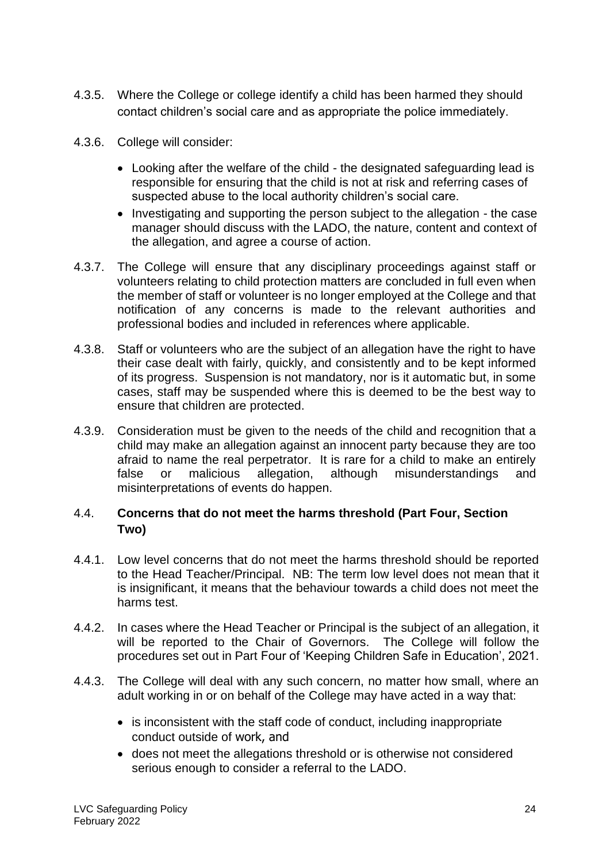- 4.3.5. Where the College or college identify a child has been harmed they should contact children's social care and as appropriate the police immediately.
- 4.3.6. College will consider:
	- Looking after the welfare of the child the designated safeguarding lead is responsible for ensuring that the child is not at risk and referring cases of suspected abuse to the local authority children's social care.
	- Investigating and supporting the person subject to the allegation the case manager should discuss with the LADO, the nature, content and context of the allegation, and agree a course of action.
- 4.3.7. The College will ensure that any disciplinary proceedings against staff or volunteers relating to child protection matters are concluded in full even when the member of staff or volunteer is no longer employed at the College and that notification of any concerns is made to the relevant authorities and professional bodies and included in references where applicable.
- 4.3.8. Staff or volunteers who are the subject of an allegation have the right to have their case dealt with fairly, quickly, and consistently and to be kept informed of its progress. Suspension is not mandatory, nor is it automatic but, in some cases, staff may be suspended where this is deemed to be the best way to ensure that children are protected.
- 4.3.9. Consideration must be given to the needs of the child and recognition that a child may make an allegation against an innocent party because they are too afraid to name the real perpetrator. It is rare for a child to make an entirely false or malicious allegation, although misunderstandings and misinterpretations of events do happen.

# 4.4. **Concerns that do not meet the harms threshold (Part Four, Section Two)**

- 4.4.1. Low level concerns that do not meet the harms threshold should be reported to the Head Teacher/Principal. NB: The term low level does not mean that it is insignificant, it means that the behaviour towards a child does not meet the harms test.
- 4.4.2. In cases where the Head Teacher or Principal is the subject of an allegation, it will be reported to the Chair of Governors. The College will follow the procedures set out in Part Four of 'Keeping Children Safe in Education', 2021.
- 4.4.3. The College will deal with any such concern, no matter how small, where an adult working in or on behalf of the College may have acted in a way that:
	- is inconsistent with the staff code of conduct, including inappropriate conduct outside of work, and
	- does not meet the allegations threshold or is otherwise not considered serious enough to consider a referral to the LADO.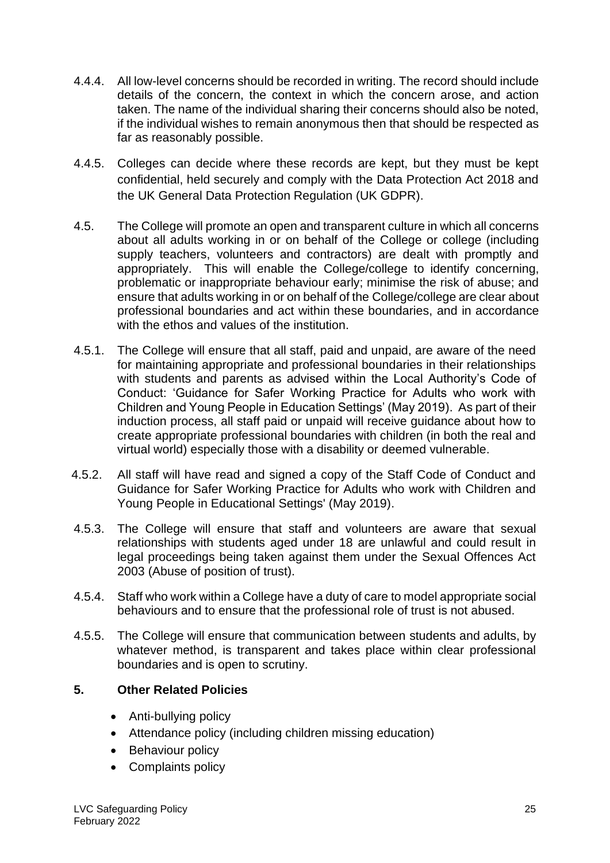- 4.4.4. All low-level concerns should be recorded in writing. The record should include details of the concern, the context in which the concern arose, and action taken. The name of the individual sharing their concerns should also be noted, if the individual wishes to remain anonymous then that should be respected as far as reasonably possible.
- 4.4.5. Colleges can decide where these records are kept, but they must be kept confidential, held securely and comply with the Data Protection Act 2018 and the UK General Data Protection Regulation (UK GDPR).
- 4.5. The College will promote an open and transparent culture in which all concerns about all adults working in or on behalf of the College or college (including supply teachers, volunteers and contractors) are dealt with promptly and appropriately. This will enable the College/college to identify concerning, problematic or inappropriate behaviour early; minimise the risk of abuse; and ensure that adults working in or on behalf of the College/college are clear about professional boundaries and act within these boundaries, and in accordance with the ethos and values of the institution.
- 4.5.1. The College will ensure that all staff, paid and unpaid, are aware of the need for maintaining appropriate and professional boundaries in their relationships with students and parents as advised within the Local Authority's Code of Conduct: 'Guidance for Safer Working Practice for Adults who work with Children and Young People in Education Settings' (May 2019). As part of their induction process, all staff paid or unpaid will receive guidance about how to create appropriate professional boundaries with children (in both the real and virtual world) especially those with a disability or deemed vulnerable.
- 4.5.2. All staff will have read and signed a copy of the Staff Code of Conduct and Guidance for Safer Working Practice for Adults who work with Children and Young People in Educational Settings' (May 2019).
- 4.5.3. The College will ensure that staff and volunteers are aware that sexual relationships with students aged under 18 are unlawful and could result in legal proceedings being taken against them under the Sexual Offences Act 2003 (Abuse of position of trust).
- 4.5.4. Staff who work within a College have a duty of care to model appropriate social behaviours and to ensure that the professional role of trust is not abused.
- 4.5.5. The College will ensure that communication between students and adults, by whatever method, is transparent and takes place within clear professional boundaries and is open to scrutiny.

# **5. Other Related Policies**

- Anti-bullying policy
- Attendance policy (including children missing education)
- Behaviour policy
- Complaints policy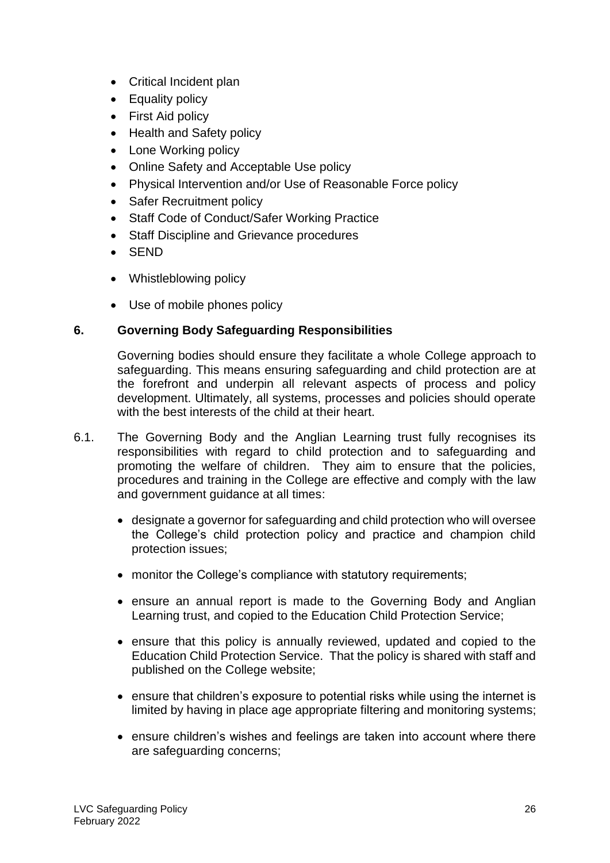- Critical Incident plan
- Equality policy
- First Aid policy
- Health and Safety policy
- Lone Working policy
- Online Safety and Acceptable Use policy
- Physical Intervention and/or Use of Reasonable Force policy
- Safer Recruitment policy
- Staff Code of Conduct/Safer Working Practice
- Staff Discipline and Grievance procedures
- SEND
- Whistleblowing policy
- Use of mobile phones policy

# **6. Governing Body Safeguarding Responsibilities**

Governing bodies should ensure they facilitate a whole College approach to safeguarding. This means ensuring safeguarding and child protection are at the forefront and underpin all relevant aspects of process and policy development. Ultimately, all systems, processes and policies should operate with the best interests of the child at their heart.

- 6.1. The Governing Body and the Anglian Learning trust fully recognises its responsibilities with regard to child protection and to safeguarding and promoting the welfare of children. They aim to ensure that the policies, procedures and training in the College are effective and comply with the law and government guidance at all times:
	- designate a governor for safeguarding and child protection who will oversee the College's child protection policy and practice and champion child protection issues;
	- monitor the College's compliance with statutory requirements;
	- ensure an annual report is made to the Governing Body and Anglian Learning trust, and copied to the Education Child Protection Service;
	- ensure that this policy is annually reviewed, updated and copied to the Education Child Protection Service. That the policy is shared with staff and published on the College website;
	- ensure that children's exposure to potential risks while using the internet is limited by having in place age appropriate filtering and monitoring systems;
	- ensure children's wishes and feelings are taken into account where there are safeguarding concerns;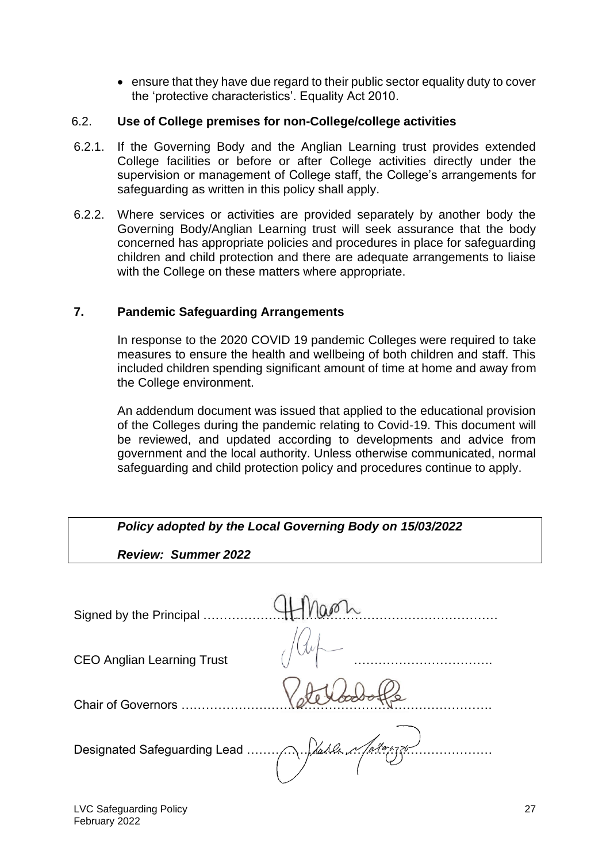• ensure that they have due regard to their public sector equality duty to cover the 'protective characteristics'. Equality Act 2010.

#### 6.2. **Use of College premises for non-College/college activities**

- 6.2.1. If the Governing Body and the Anglian Learning trust provides extended College facilities or before or after College activities directly under the supervision or management of College staff, the College's arrangements for safeguarding as written in this policy shall apply.
- 6.2.2. Where services or activities are provided separately by another body the Governing Body/Anglian Learning trust will seek assurance that the body concerned has appropriate policies and procedures in place for safeguarding children and child protection and there are adequate arrangements to liaise with the College on these matters where appropriate.

#### **7. Pandemic Safeguarding Arrangements**

In response to the 2020 COVID 19 pandemic Colleges were required to take measures to ensure the health and wellbeing of both children and staff. This included children spending significant amount of time at home and away from the College environment.

An addendum document was issued that applied to the educational provision of the Colleges during the pandemic relating to Covid-19. This document will be reviewed, and updated according to developments and advice from government and the local authority. Unless otherwise communicated, normal safeguarding and child protection policy and procedures continue to apply.

| Policy adopted by the Local Governing Body on 15/03/2022 |  |  |
|----------------------------------------------------------|--|--|
| <b>Review: Summer 2022</b>                               |  |  |
|                                                          |  |  |
| Signed by the Principal                                  |  |  |
| <b>CEO Anglian Learning Trust</b>                        |  |  |
| <b>Chair of Governors</b>                                |  |  |
|                                                          |  |  |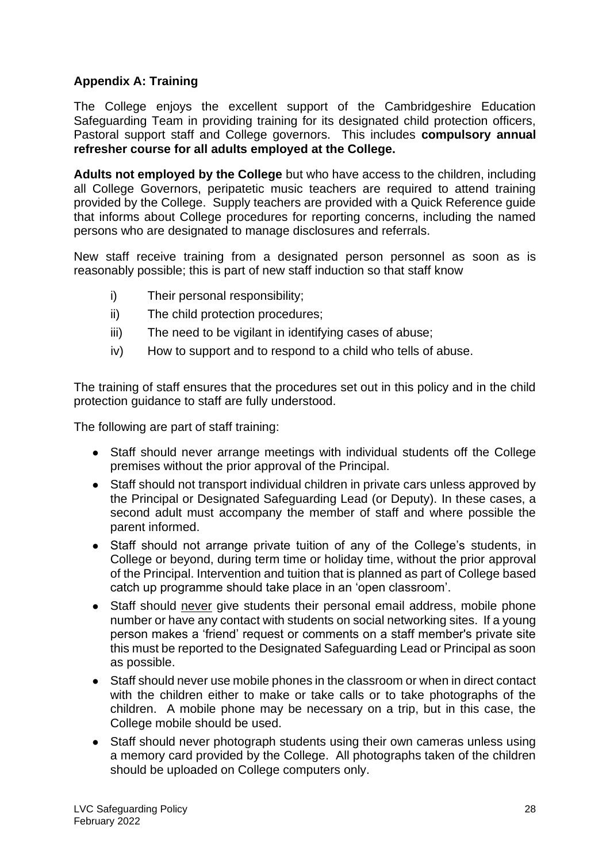# **Appendix A: Training**

The College enjoys the excellent support of the Cambridgeshire Education Safeguarding Team in providing training for its designated child protection officers, Pastoral support staff and College governors. This includes **compulsory annual refresher course for all adults employed at the College.**

**Adults not employed by the College** but who have access to the children, including all College Governors, peripatetic music teachers are required to attend training provided by the College. Supply teachers are provided with a Quick Reference guide that informs about College procedures for reporting concerns, including the named persons who are designated to manage disclosures and referrals.

New staff receive training from a designated person personnel as soon as is reasonably possible; this is part of new staff induction so that staff know

- i) Their personal responsibility;
- ii) The child protection procedures;
- iii) The need to be vigilant in identifying cases of abuse;
- iv) How to support and to respond to a child who tells of abuse.

The training of staff ensures that the procedures set out in this policy and in the child protection guidance to staff are fully understood.

The following are part of staff training:

- Staff should never arrange meetings with individual students off the College premises without the prior approval of the Principal.
- Staff should not transport individual children in private cars unless approved by the Principal or Designated Safeguarding Lead (or Deputy). In these cases, a second adult must accompany the member of staff and where possible the parent informed.
- Staff should not arrange private tuition of any of the College's students, in College or beyond, during term time or holiday time, without the prior approval of the Principal. Intervention and tuition that is planned as part of College based catch up programme should take place in an 'open classroom'.
- Staff should never give students their personal email address, mobile phone number or have any contact with students on social networking sites. If a young person makes a 'friend' request or comments on a staff member's private site this must be reported to the Designated Safeguarding Lead or Principal as soon as possible.
- Staff should never use mobile phones in the classroom or when in direct contact with the children either to make or take calls or to take photographs of the children. A mobile phone may be necessary on a trip, but in this case, the College mobile should be used.
- Staff should never photograph students using their own cameras unless using a memory card provided by the College. All photographs taken of the children should be uploaded on College computers only.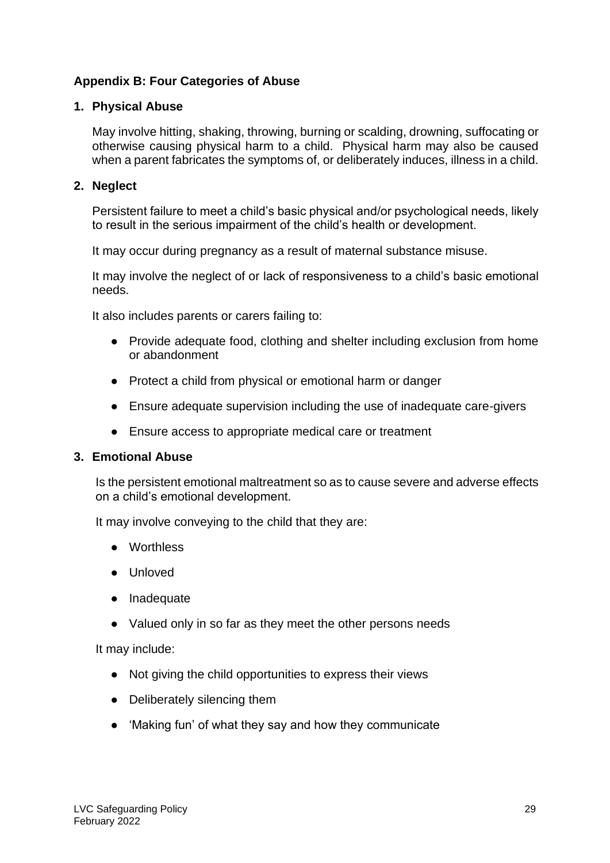# **Appendix B: Four Categories of Abuse**

#### **1. Physical Abuse**

May involve hitting, shaking, throwing, burning or scalding, drowning, suffocating or otherwise causing physical harm to a child. Physical harm may also be caused when a parent fabricates the symptoms of, or deliberately induces, illness in a child.

#### **2. Neglect**

Persistent failure to meet a child's basic physical and/or psychological needs, likely to result in the serious impairment of the child's health or development.

It may occur during pregnancy as a result of maternal substance misuse.

It may involve the neglect of or lack of responsiveness to a child's basic emotional needs.

It also includes parents or carers failing to:

- Provide adequate food, clothing and shelter including exclusion from home or abandonment
- Protect a child from physical or emotional harm or danger
- Ensure adequate supervision including the use of inadequate care-givers
- Ensure access to appropriate medical care or treatment

#### **3. Emotional Abuse**

Is the persistent emotional maltreatment so as to cause severe and adverse effects on a child's emotional development.

It may involve conveying to the child that they are:

- Worthless
- Unloved
- Inadequate
- Valued only in so far as they meet the other persons needs

It may include:

- Not giving the child opportunities to express their views
- Deliberately silencing them
- 'Making fun' of what they say and how they communicate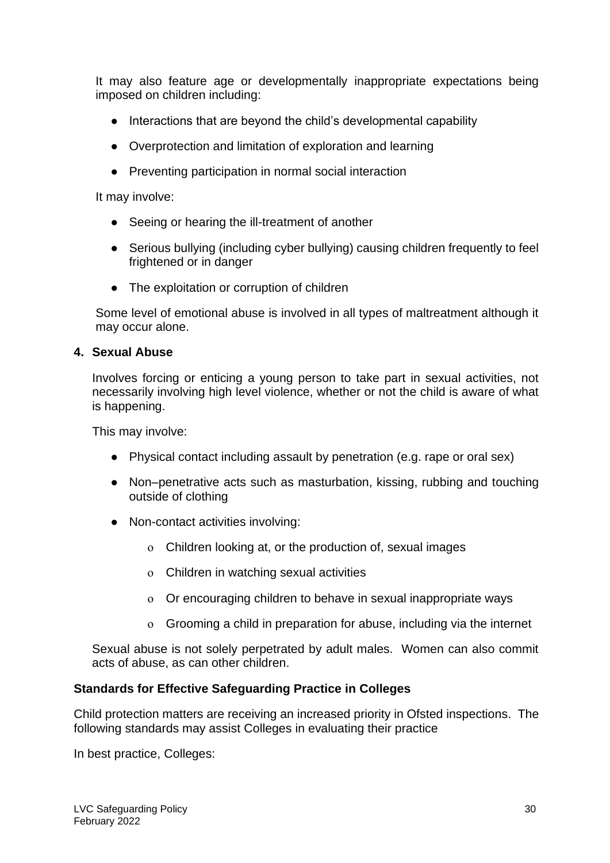It may also feature age or developmentally inappropriate expectations being imposed on children including:

- Interactions that are beyond the child's developmental capability
- Overprotection and limitation of exploration and learning
- Preventing participation in normal social interaction

It may involve:

- Seeing or hearing the ill-treatment of another
- Serious bullying (including cyber bullying) causing children frequently to feel frightened or in danger
- The exploitation or corruption of children

Some level of emotional abuse is involved in all types of maltreatment although it may occur alone.

### **4. Sexual Abuse**

Involves forcing or enticing a young person to take part in sexual activities, not necessarily involving high level violence, whether or not the child is aware of what is happening.

This may involve:

- Physical contact including assault by penetration (e.g. rape or oral sex)
- Non–penetrative acts such as masturbation, kissing, rubbing and touching outside of clothing
- Non-contact activities involving:
	- ο Children looking at, or the production of, sexual images
	- ο Children in watching sexual activities
	- ο Or encouraging children to behave in sexual inappropriate ways
	- ο Grooming a child in preparation for abuse, including via the internet

Sexual abuse is not solely perpetrated by adult males. Women can also commit acts of abuse, as can other children.

# **Standards for Effective Safeguarding Practice in Colleges**

Child protection matters are receiving an increased priority in Ofsted inspections. The following standards may assist Colleges in evaluating their practice

In best practice, Colleges: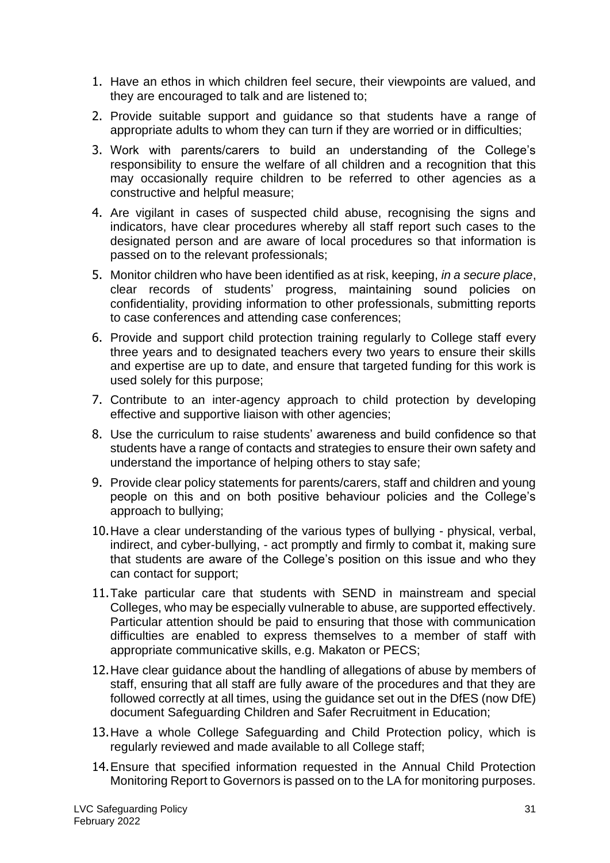- 1. Have an ethos in which children feel secure, their viewpoints are valued, and they are encouraged to talk and are listened to;
- 2. Provide suitable support and guidance so that students have a range of appropriate adults to whom they can turn if they are worried or in difficulties;
- 3. Work with parents/carers to build an understanding of the College's responsibility to ensure the welfare of all children and a recognition that this may occasionally require children to be referred to other agencies as a constructive and helpful measure;
- 4. Are vigilant in cases of suspected child abuse, recognising the signs and indicators, have clear procedures whereby all staff report such cases to the designated person and are aware of local procedures so that information is passed on to the relevant professionals;
- 5. Monitor children who have been identified as at risk, keeping, *in a secure place*, clear records of students' progress, maintaining sound policies on confidentiality, providing information to other professionals, submitting reports to case conferences and attending case conferences;
- 6. Provide and support child protection training regularly to College staff every three years and to designated teachers every two years to ensure their skills and expertise are up to date, and ensure that targeted funding for this work is used solely for this purpose;
- 7. Contribute to an inter-agency approach to child protection by developing effective and supportive liaison with other agencies;
- 8. Use the curriculum to raise students' awareness and build confidence so that students have a range of contacts and strategies to ensure their own safety and understand the importance of helping others to stay safe;
- 9. Provide clear policy statements for parents/carers, staff and children and young people on this and on both positive behaviour policies and the College's approach to bullying;
- 10.Have a clear understanding of the various types of bullying physical, verbal, indirect, and cyber-bullying, - act promptly and firmly to combat it, making sure that students are aware of the College's position on this issue and who they can contact for support;
- 11.Take particular care that students with SEND in mainstream and special Colleges, who may be especially vulnerable to abuse, are supported effectively. Particular attention should be paid to ensuring that those with communication difficulties are enabled to express themselves to a member of staff with appropriate communicative skills, e.g. Makaton or PECS;
- 12.Have clear guidance about the handling of allegations of abuse by members of staff, ensuring that all staff are fully aware of the procedures and that they are followed correctly at all times, using the guidance set out in the DfES (now DfE) document Safeguarding Children and Safer Recruitment in Education;
- 13.Have a whole College Safeguarding and Child Protection policy, which is regularly reviewed and made available to all College staff;
- 14.Ensure that specified information requested in the Annual Child Protection Monitoring Report to Governors is passed on to the LA for monitoring purposes.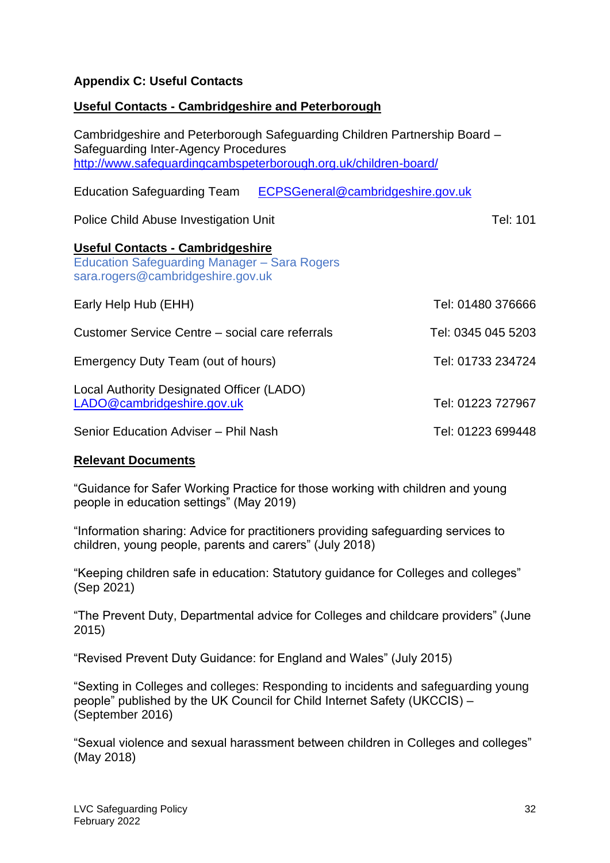# **Appendix C: Useful Contacts**

# **Useful Contacts - Cambridgeshire and Peterborough**

| Cambridgeshire and Peterborough Safeguarding Children Partnership Board -<br>Safeguarding Inter-Agency Procedures<br>http://www.safeguardingcambspeterborough.org.uk/children-board/ |                    |
|--------------------------------------------------------------------------------------------------------------------------------------------------------------------------------------|--------------------|
| ECPSGeneral@cambridgeshire.gov.uk<br><b>Education Safeguarding Team</b>                                                                                                              |                    |
| Police Child Abuse Investigation Unit                                                                                                                                                | Tel: 101           |
| <b>Useful Contacts - Cambridgeshire</b><br><b>Education Safeguarding Manager - Sara Rogers</b><br>sara.rogers@cambridgeshire.gov.uk                                                  |                    |
| Early Help Hub (EHH)                                                                                                                                                                 | Tel: 01480 376666  |
| Customer Service Centre – social care referrals                                                                                                                                      | Tel: 0345 045 5203 |
| Emergency Duty Team (out of hours)                                                                                                                                                   | Tel: 01733 234724  |
| Local Authority Designated Officer (LADO)<br>LADO@cambridgeshire.gov.uk                                                                                                              | Tel: 01223 727967  |
| Senior Education Adviser - Phil Nash                                                                                                                                                 | Tel: 01223 699448  |

#### **Relevant Documents**

"Guidance for Safer Working Practice for those working with children and young people in education settings" (May 2019)

"Information sharing: Advice for practitioners providing safeguarding services to children, young people, parents and carers" (July 2018)

"Keeping children safe in education: Statutory guidance for Colleges and colleges" (Sep 2021)

"The Prevent Duty, Departmental advice for Colleges and childcare providers" (June 2015)

"Revised Prevent Duty Guidance: for England and Wales" (July 2015)

"Sexting in Colleges and colleges: Responding to incidents and safeguarding young people" published by the UK Council for Child Internet Safety (UKCCIS) – (September 2016)

"Sexual violence and sexual harassment between children in Colleges and colleges" (May 2018)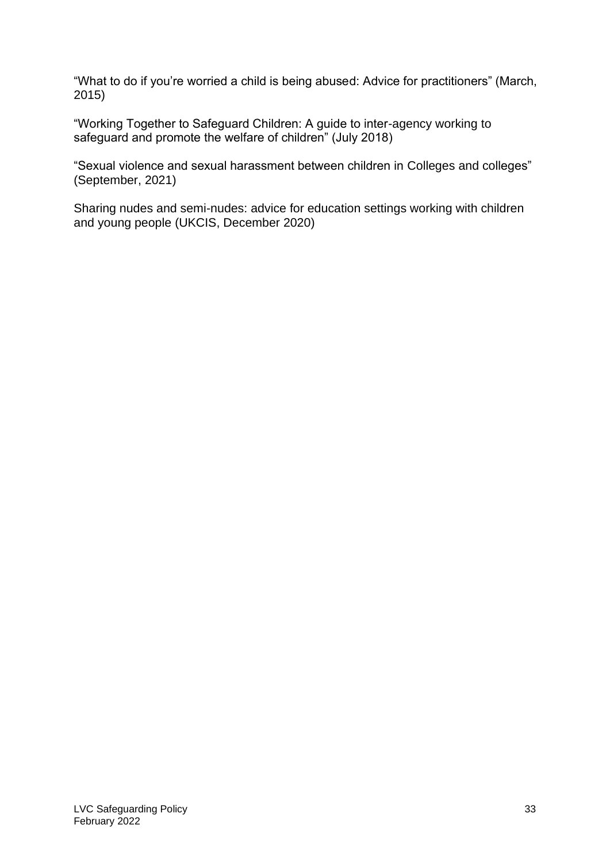"What to do if you're worried a child is being abused: Advice for practitioners" (March, 2015)

"Working Together to Safeguard Children: A guide to inter-agency working to safeguard and promote the welfare of children" (July 2018)

"Sexual violence and sexual harassment between children in Colleges and colleges" (September, 2021)

Sharing nudes and semi-nudes: advice for education settings working with children and young people (UKCIS, December 2020)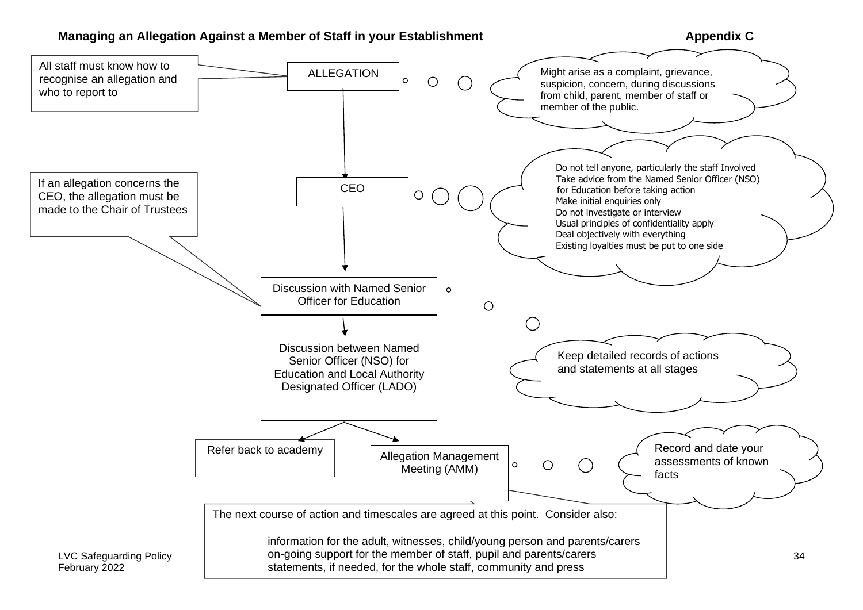#### **Managing an Allegation Against a Member of Staff in your Establishment Managing and Appendix C**

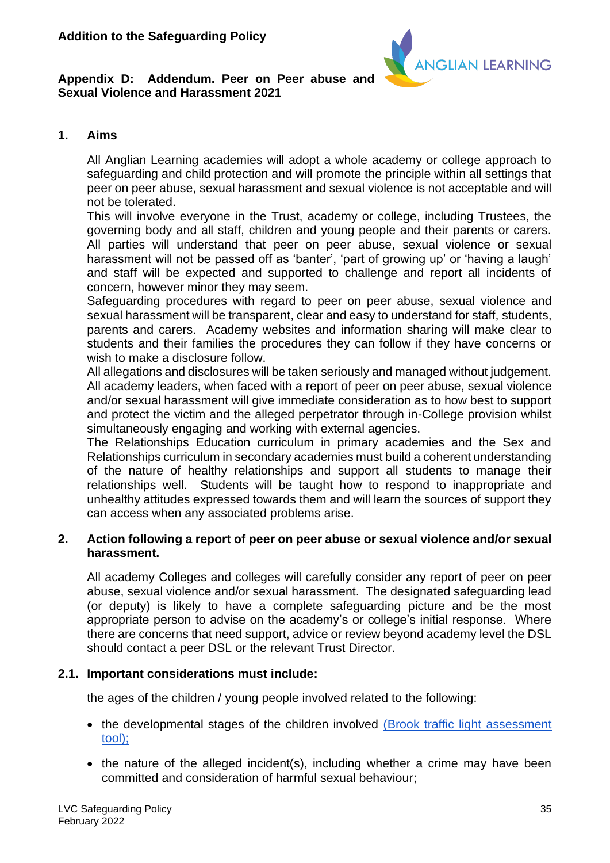

#### **Appendix D: Addendum. Peer on Peer abuse and Sexual Violence and Harassment 2021**

### **1. Aims**

All Anglian Learning academies will adopt a whole academy or college approach to safeguarding and child protection and will promote the principle within all settings that peer on peer abuse, sexual harassment and sexual violence is not acceptable and will not be tolerated.

This will involve everyone in the Trust, academy or college, including Trustees, the governing body and all staff, children and young people and their parents or carers. All parties will understand that peer on peer abuse, sexual violence or sexual harassment will not be passed off as 'banter', 'part of growing up' or 'having a laugh' and staff will be expected and supported to challenge and report all incidents of concern, however minor they may seem.

Safeguarding procedures with regard to peer on peer abuse, sexual violence and sexual harassment will be transparent, clear and easy to understand for staff, students, parents and carers. Academy websites and information sharing will make clear to students and their families the procedures they can follow if they have concerns or wish to make a disclosure follow.

All allegations and disclosures will be taken seriously and managed without judgement. All academy leaders, when faced with a report of peer on peer abuse, sexual violence and/or sexual harassment will give immediate consideration as to how best to support and protect the victim and the alleged perpetrator through in-College provision whilst simultaneously engaging and working with external agencies.

The Relationships Education curriculum in primary academies and the Sex and Relationships curriculum in secondary academies must build a coherent understanding of the nature of healthy relationships and support all students to manage their relationships well. Students will be taught how to respond to inappropriate and unhealthy attitudes expressed towards them and will learn the sources of support they can access when any associated problems arise.

#### **2. Action following a report of peer on peer abuse or sexual violence and/or sexual harassment.**

All academy Colleges and colleges will carefully consider any report of peer on peer abuse, sexual violence and/or sexual harassment. The designated safeguarding lead (or deputy) is likely to have a complete safeguarding picture and be the most appropriate person to advise on the academy's or college's initial response. Where there are concerns that need support, advice or review beyond academy level the DSL should contact a peer DSL or the relevant Trust Director.

#### **2.1. Important considerations must include:**

the ages of the children / young people involved related to the following:

- the developmental stages of the children involved [\(Brook traffic light assessment](https://drive.google.com/drive/folders/1Idgb41bSKb44GobvkA2OMbHu90q9qUdA)  [tool\);](https://drive.google.com/drive/folders/1Idgb41bSKb44GobvkA2OMbHu90q9qUdA)
- the nature of the alleged incident(s), including whether a crime may have been committed and consideration of harmful sexual behaviour;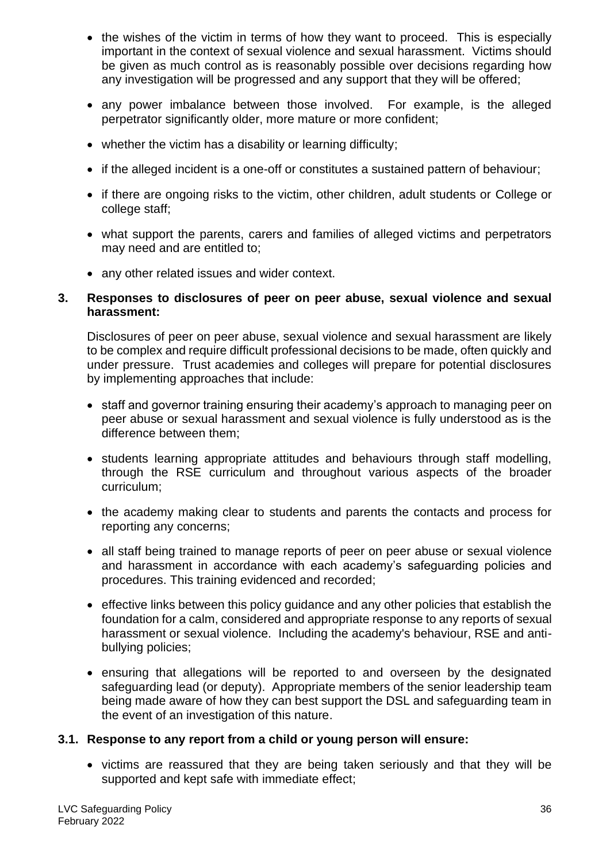- the wishes of the victim in terms of how they want to proceed. This is especially important in the context of sexual violence and sexual harassment. Victims should be given as much control as is reasonably possible over decisions regarding how any investigation will be progressed and any support that they will be offered;
- any power imbalance between those involved. For example, is the alleged perpetrator significantly older, more mature or more confident;
- whether the victim has a disability or learning difficulty;
- if the alleged incident is a one-off or constitutes a sustained pattern of behaviour;
- if there are ongoing risks to the victim, other children, adult students or College or college staff;
- what support the parents, carers and families of alleged victims and perpetrators may need and are entitled to;
- any other related issues and wider context.

#### **3. Responses to disclosures of peer on peer abuse, sexual violence and sexual harassment:**

Disclosures of peer on peer abuse, sexual violence and sexual harassment are likely to be complex and require difficult professional decisions to be made, often quickly and under pressure. Trust academies and colleges will prepare for potential disclosures by implementing approaches that include:

- staff and governor training ensuring their academy's approach to managing peer on peer abuse or sexual harassment and sexual violence is fully understood as is the difference between them;
- students learning appropriate attitudes and behaviours through staff modelling, through the RSE curriculum and throughout various aspects of the broader curriculum;
- the academy making clear to students and parents the contacts and process for reporting any concerns;
- all staff being trained to manage reports of peer on peer abuse or sexual violence and harassment in accordance with each academy's safeguarding policies and procedures. This training evidenced and recorded;
- effective links between this policy guidance and any other policies that establish the foundation for a calm, considered and appropriate response to any reports of sexual harassment or sexual violence. Including the academy's behaviour, RSE and antibullying policies;
- ensuring that allegations will be reported to and overseen by the designated safeguarding lead (or deputy). Appropriate members of the senior leadership team being made aware of how they can best support the DSL and safeguarding team in the event of an investigation of this nature.

#### **3.1. Response to any report from a child or young person will ensure:**

• victims are reassured that they are being taken seriously and that they will be supported and kept safe with immediate effect;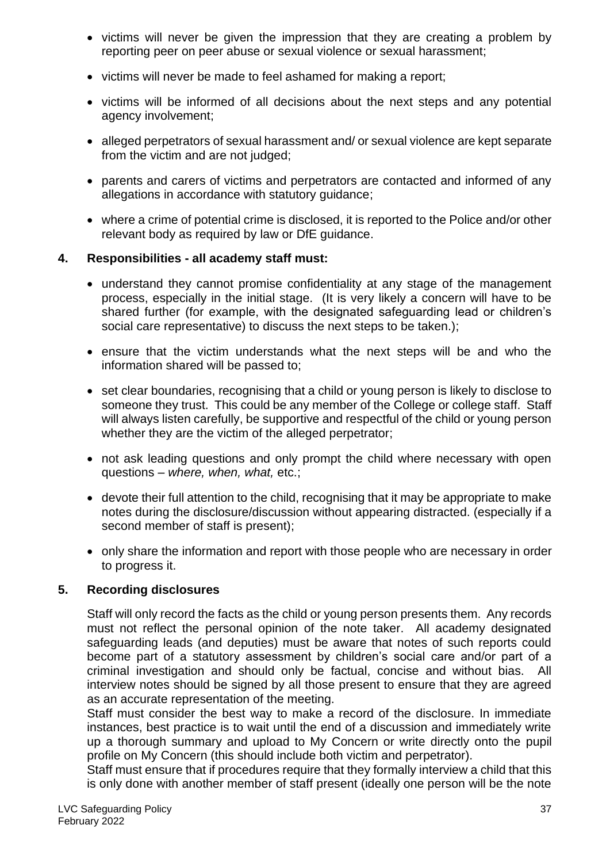- victims will never be given the impression that they are creating a problem by reporting peer on peer abuse or sexual violence or sexual harassment;
- victims will never be made to feel ashamed for making a report;
- victims will be informed of all decisions about the next steps and any potential agency involvement;
- alleged perpetrators of sexual harassment and/ or sexual violence are kept separate from the victim and are not judged;
- parents and carers of victims and perpetrators are contacted and informed of any allegations in accordance with statutory guidance;
- where a crime of potential crime is disclosed, it is reported to the Police and/or other relevant body as required by law or DfE guidance.

# **4. Responsibilities - all academy staff must:**

- understand they cannot promise confidentiality at any stage of the management process, especially in the initial stage. (It is very likely a concern will have to be shared further (for example, with the designated safeguarding lead or children's social care representative) to discuss the next steps to be taken.);
- ensure that the victim understands what the next steps will be and who the information shared will be passed to;
- set clear boundaries, recognising that a child or young person is likely to disclose to someone they trust. This could be any member of the College or college staff. Staff will always listen carefully, be supportive and respectful of the child or young person whether they are the victim of the alleged perpetrator;
- not ask leading questions and only prompt the child where necessary with open questions – *where, when, what,* etc.;
- devote their full attention to the child, recognising that it may be appropriate to make notes during the disclosure/discussion without appearing distracted. (especially if a second member of staff is present);
- only share the information and report with those people who are necessary in order to progress it.

# **5. Recording disclosures**

Staff will only record the facts as the child or young person presents them. Any records must not reflect the personal opinion of the note taker. All academy designated safeguarding leads (and deputies) must be aware that notes of such reports could become part of a statutory assessment by children's social care and/or part of a criminal investigation and should only be factual, concise and without bias. All interview notes should be signed by all those present to ensure that they are agreed as an accurate representation of the meeting.

Staff must consider the best way to make a record of the disclosure. In immediate instances, best practice is to wait until the end of a discussion and immediately write up a thorough summary and upload to My Concern or write directly onto the pupil profile on My Concern (this should include both victim and perpetrator).

Staff must ensure that if procedures require that they formally interview a child that this is only done with another member of staff present (ideally one person will be the note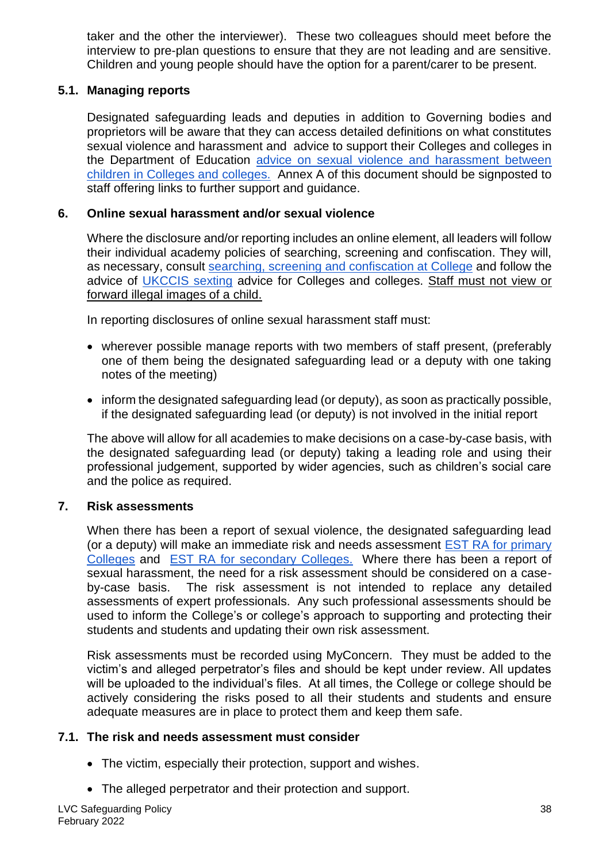taker and the other the interviewer). These two colleagues should meet before the interview to pre-plan questions to ensure that they are not leading and are sensitive. Children and young people should have the option for a parent/carer to be present.

# **5.1. Managing reports**

Designated safeguarding leads and deputies in addition to Governing bodies and proprietors will be aware that they can access detailed definitions on what constitutes sexual violence and harassment and advice to support their Colleges and colleges in the Department of Education [advice on sexual violence and harassment between](https://assets.publishing.service.gov.uk/government/uploads/system/uploads/attachment_data/file/719902/Sexual_violence_and_sexual_harassment_between_children_in_schools_and_colleges.pdf)  [children in Colleges and colleges.](https://assets.publishing.service.gov.uk/government/uploads/system/uploads/attachment_data/file/719902/Sexual_violence_and_sexual_harassment_between_children_in_schools_and_colleges.pdf) Annex A of this document should be signposted to staff offering links to further support and guidance.

# **6. Online sexual harassment and/or sexual violence**

Where the disclosure and/or reporting includes an online element, all leaders will follow their individual academy policies of searching, screening and confiscation. They will, as necessary, consult [searching, screening and confiscation at College](https://www.gov.uk/government/publications/searching-screening-and-confiscation) and follow the advice of [UKCCIS sexting](https://www.gov.uk/government/groups/uk-council-for-child-internet-safety-ukccis) advice for Colleges and colleges. Staff must not view or forward illegal images of a child.

In reporting disclosures of online sexual harassment staff must:

- wherever possible manage reports with two members of staff present, (preferably one of them being the designated safeguarding lead or a deputy with one taking notes of the meeting)
- inform the designated safeguarding lead (or deputy), as soon as practically possible, if the designated safeguarding lead (or deputy) is not involved in the initial report

The above will allow for all academies to make decisions on a case-by-case basis, with the designated safeguarding lead (or deputy) taking a leading role and using their professional judgement, supported by wider agencies, such as children's social care and the police as required.

# **7. Risk assessments**

When there has been a report of sexual violence, the designated safeguarding lead (or a deputy) will make an immediate risk and needs assessment **EST RA** for primary [Colleges](https://docs.google.com/document/d/1Uh2CimBkTobWs7OZP3TGAx5hySdbsojUz6-GupEaI_E/edit) and [EST RA for secondary Colleges.](https://docs.google.com/document/d/17Emp7FzLdgOMjuwK9nHPJn6aLVv-c54g46auozRHsw4/edit) Where there has been a report of sexual harassment, the need for a risk assessment should be considered on a caseby-case basis. The risk assessment is not intended to replace any detailed assessments of expert professionals. Any such professional assessments should be used to inform the College's or college's approach to supporting and protecting their students and students and updating their own risk assessment.

Risk assessments must be recorded using MyConcern. They must be added to the victim's and alleged perpetrator's files and should be kept under review. All updates will be uploaded to the individual's files. At all times, the College or college should be actively considering the risks posed to all their students and students and ensure adequate measures are in place to protect them and keep them safe.

# **7.1. The risk and needs assessment must consider**

- The victim, especially their protection, support and wishes.
- The alleged perpetrator and their protection and support.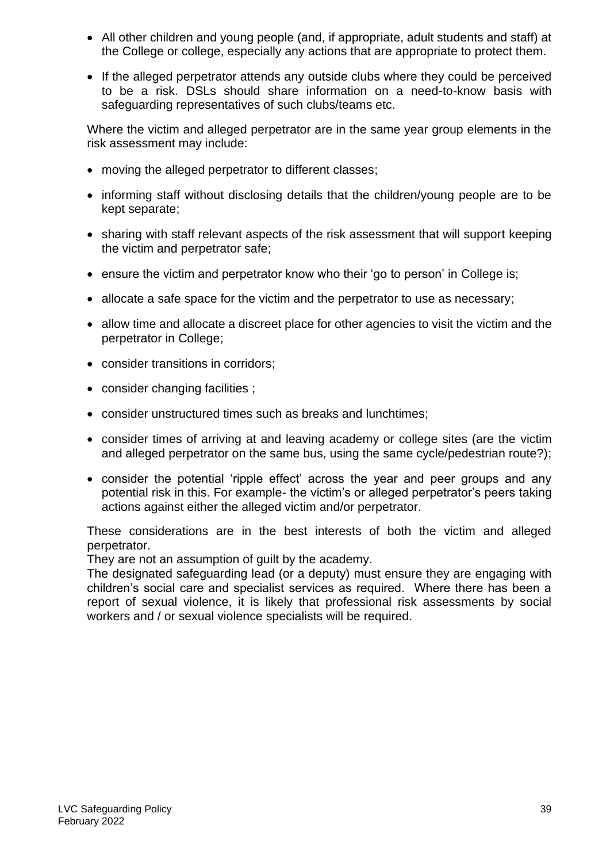- All other children and young people (and, if appropriate, adult students and staff) at the College or college, especially any actions that are appropriate to protect them.
- If the alleged perpetrator attends any outside clubs where they could be perceived to be a risk. DSLs should share information on a need-to-know basis with safeguarding representatives of such clubs/teams etc.

Where the victim and alleged perpetrator are in the same year group elements in the risk assessment may include:

- moving the alleged perpetrator to different classes:
- informing staff without disclosing details that the children/young people are to be kept separate;
- sharing with staff relevant aspects of the risk assessment that will support keeping the victim and perpetrator safe;
- ensure the victim and perpetrator know who their 'go to person' in College is;
- allocate a safe space for the victim and the perpetrator to use as necessary:
- allow time and allocate a discreet place for other agencies to visit the victim and the perpetrator in College;
- consider transitions in corridors;
- consider changing facilities :
- consider unstructured times such as breaks and lunchtimes;
- consider times of arriving at and leaving academy or college sites (are the victim and alleged perpetrator on the same bus, using the same cycle/pedestrian route?);
- consider the potential 'ripple effect' across the year and peer groups and any potential risk in this. For example- the victim's or alleged perpetrator's peers taking actions against either the alleged victim and/or perpetrator.

These considerations are in the best interests of both the victim and alleged perpetrator.

They are not an assumption of guilt by the academy.

The designated safeguarding lead (or a deputy) must ensure they are engaging with children's social care and specialist services as required. Where there has been a report of sexual violence, it is likely that professional risk assessments by social workers and / or sexual violence specialists will be required.